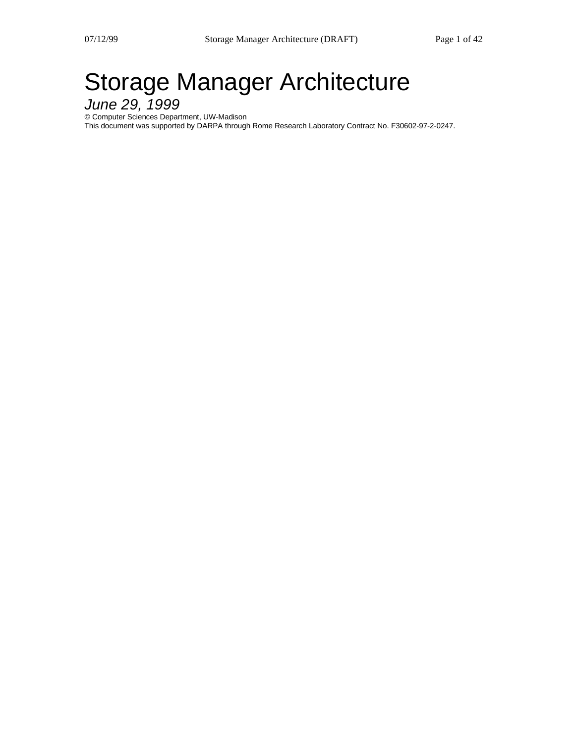# Storage Manager Architecture

June 29, 1999

© Computer Sciences Department, UW-Madison

This document was supported by DARPA through Rome Research Laboratory Contract No. F30602-97-2-0247.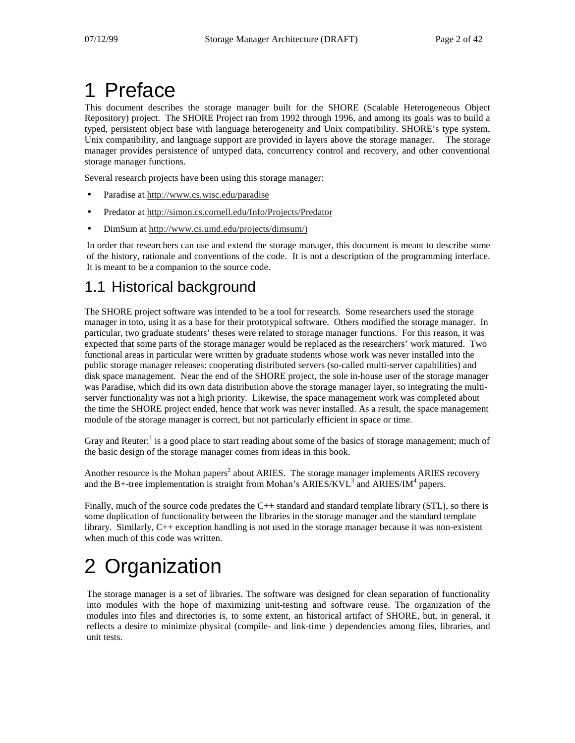# 1 Preface

This document describes the storage manager built for the SHORE (Scalable Heterogeneous Object Repository) project. The SHORE Project ran from 1992 through 1996, and among its goals was to build a typed, persistent object base with language heterogeneity and Unix compatibility. SHORE's type system, Unix compatibility, and language support are provided in layers above the storage manager. The storage manager provides persistence of untyped data, concurrency control and recovery, and other conventional storage manager functions.

Several research projects have been using this storage manager:

- Paradise at http://www.cs.wisc.edu/paradise
- Predator at http://simon.cs.cornell.edu/Info/Projects/Predator
- DimSum at http://www.cs.umd.edu/projects/dimsum/)

In order that researchers can use and extend the storage manager, this document is meant to describe some of the history, rationale and conventions of the code. It is not a description of the programming interface. It is meant to be a companion to the source code.

# 1.1 Historical background

The SHORE project software was intended to be a tool for research. Some researchers used the storage manager in toto, using it as a base for their prototypical software. Others modified the storage manager. In particular, two graduate students' theses were related to storage manager functions. For this reason, it was expected that some parts of the storage manager would be replaced as the researchers' work matured. Two functional areas in particular were written by graduate students whose work was never installed into the public storage manager releases: cooperating distributed servers (so-called multi-server capabilities) and disk space management. Near the end of the SHORE project, the sole in-house user of the storage manager was Paradise, which did its own data distribution above the storage manager layer, so integrating the multiserver functionality was not a high priority. Likewise, the space management work was completed about the time the SHORE project ended, hence that work was never installed. As a result, the space management module of the storage manager is correct, but not particularly efficient in space or time.

Gray and Reuter:<sup>1</sup> is a good place to start reading about some of the basics of storage management; much of the basic design of the storage manager comes from ideas in this book.

Another resource is the Mohan papers<sup>2</sup> about ARIES. The storage manager implements ARIES recovery and the B+-tree implementation is straight from Mohan's ARIES/KVL<sup>3</sup> and ARIES/IM<sup>4</sup> papers.

Finally, much of the source code predates the  $C_{++}$  standard and standard template library (STL), so there is some duplication of functionality between the libraries in the storage manager and the standard template library. Similarly, C++ exception handling is not used in the storage manager because it was non-existent when much of this code was written.

# 2 Organization

The storage manager is a set of libraries. The software was designed for clean separation of functionality into modules with the hope of maximizing unit-testing and software reuse. The organization of the modules into files and directories is, to some extent, an historical artifact of SHORE, but, in general, it reflects a desire to minimize physical (compile- and link-time ) dependencies among files, libraries, and unit tests.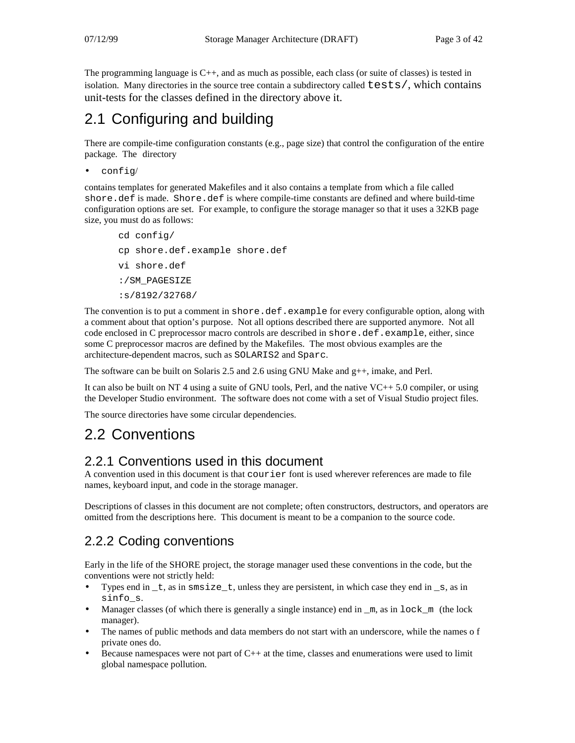The programming language is C++, and as much as possible, each class (or suite of classes) is tested in isolation. Many directories in the source tree contain a subdirectory called tests/, which contains unit-tests for the classes defined in the directory above it.

# 2.1 Configuring and building

There are compile-time configuration constants (e.g., page size) that control the configuration of the entire package. The directory

```
• config/
```
contains templates for generated Makefiles and it also contains a template from which a file called shore.def is made. Shore.def is where compile-time constants are defined and where build-time configuration options are set. For example, to configure the storage manager so that it uses a 32KB page size, you must do as follows:

```
cd config/
cp shore.def.example shore.def
vi shore.def
:/SM_PAGESIZE
:s/8192/32768/
```
The convention is to put a comment in shore.def.example for every configurable option, along with a comment about that option's purpose. Not all options described there are supported anymore. Not all code enclosed in C preprocessor macro controls are described in shore.def.example, either, since some C preprocessor macros are defined by the Makefiles. The most obvious examples are the architecture-dependent macros, such as SOLARIS2 and Sparc.

The software can be built on Solaris 2.5 and 2.6 using GNU Make and  $g++$ , imake, and Perl.

It can also be built on NT 4 using a suite of GNU tools, Perl, and the native VC++ 5.0 compiler, or using the Developer Studio environment. The software does not come with a set of Visual Studio project files.

The source directories have some circular dependencies.

## 2.2 Conventions

### 2.2.1 Conventions used in this document

A convention used in this document is that courier font is used wherever references are made to file names, keyboard input, and code in the storage manager.

Descriptions of classes in this document are not complete; often constructors, destructors, and operators are omitted from the descriptions here. This document is meant to be a companion to the source code.

## 2.2.2 Coding conventions

Early in the life of the SHORE project, the storage manager used these conventions in the code, but the conventions were not strictly held:

- Types end in  $_t$ , as in  $smsize_t$ , unless they are persistent, in which case they end in  $_s$ , as in sinfo\_s.
- Manager classes (of which there is generally a single instance) end in  $\mu$ , as in lock  $\mu$  (the lock manager).
- The names of public methods and data members do not start with an underscore, while the names o f private ones do.
- Because namespaces were not part of  $C_{++}$  at the time, classes and enumerations were used to limit global namespace pollution.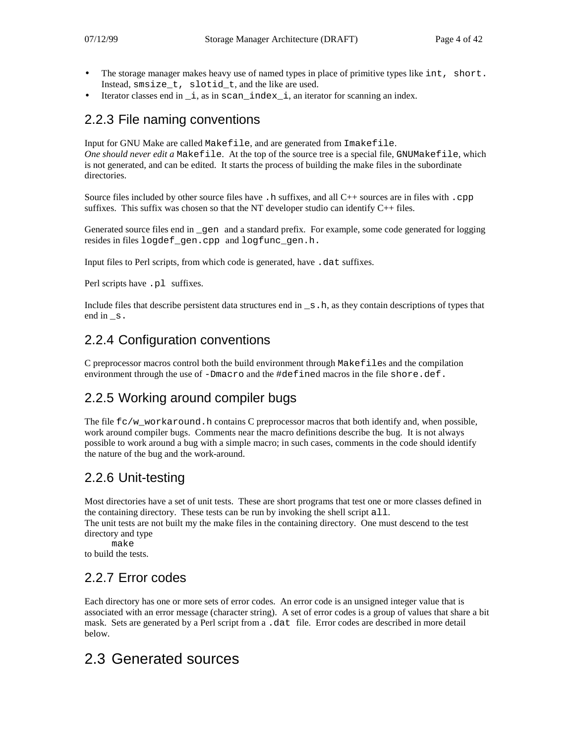- The storage manager makes heavy use of named types in place of primitive types like int, short. Instead, smsize\_t, slotid\_t, and the like are used.
- Iterator classes end in  $\__$  i, as in scan $\__$ index $\__$  i, an iterator for scanning an index.

### 2.2.3 File naming conventions

Input for GNU Make are called Makefile, and are generated from Imakefile. *One should never edit a* Makefile. At the top of the source tree is a special file, GNUMakefile, which is not generated, and can be edited. It starts the process of building the make files in the subordinate directories.

Source files included by other source files have . h suffixes, and all  $C++$  sources are in files with . cpp suffixes. This suffix was chosen so that the NT developer studio can identify  $C_{++}$  files.

Generated source files end in \_gen and a standard prefix. For example, some code generated for logging resides in files logdef gen.cpp and logfunc gen.h.

Input files to Perl scripts, from which code is generated, have .dat suffixes.

Perl scripts have .pl suffixes.

Include files that describe persistent data structures end in  $\equiv s$ . h, as they contain descriptions of types that end in s.

## 2.2.4 Configuration conventions

C preprocessor macros control both the build environment through Makefiles and the compilation environment through the use of  $-Dmacro$  and the  $\# defined$  macros in the file shore.def.

## 2.2.5 Working around compiler bugs

The file  $fc/w_workaround$ .h contains C preprocessor macros that both identify and, when possible, work around compiler bugs. Comments near the macro definitions describe the bug. It is not always possible to work around a bug with a simple macro; in such cases, comments in the code should identify the nature of the bug and the work-around.

### 2.2.6 Unit-testing

Most directories have a set of unit tests. These are short programs that test one or more classes defined in the containing directory. These tests can be run by invoking the shell script  $all.$ The unit tests are not built my the make files in the containing directory. One must descend to the test

directory and type

make

to build the tests.

### 2.2.7 Error codes

Each directory has one or more sets of error codes. An error code is an unsigned integer value that is associated with an error message (character string). A set of error codes is a group of values that share a bit mask. Sets are generated by a Perl script from a .dat file. Error codes are described in more detail below.

# 2.3 Generated sources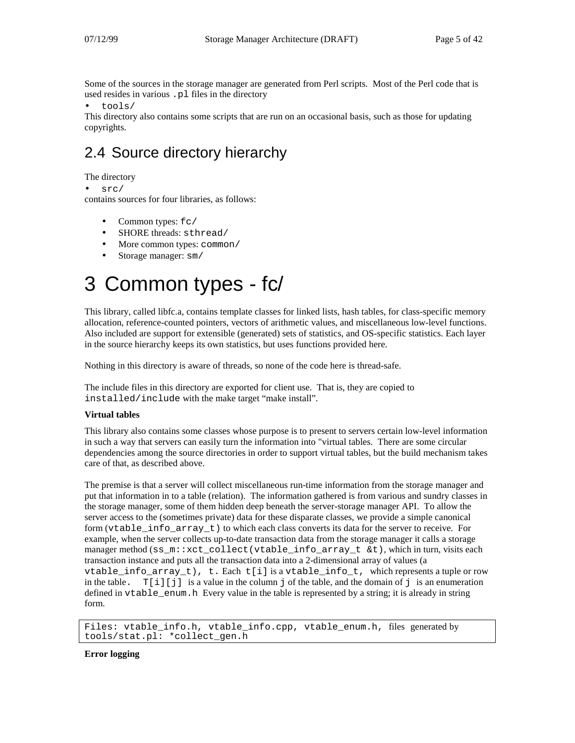Some of the sources in the storage manager are generated from Perl scripts. Most of the Perl code that is used resides in various .pl files in the directory

• tools/

This directory also contains some scripts that are run on an occasional basis, such as those for updating copyrights.

# 2.4 Source directory hierarchy

The directory

src/

contains sources for four libraries, as follows:

- Common types:  $fc/$
- SHORE threads: sthread/
- More common types: common/
- Storage manager: sm/

# 3 Common types - fc/

This library, called libfc.a, contains template classes for linked lists, hash tables, for class-specific memory allocation, reference-counted pointers, vectors of arithmetic values, and miscellaneous low-level functions. Also included are support for extensible (generated) sets of statistics, and OS-specific statistics. Each layer in the source hierarchy keeps its own statistics, but uses functions provided here.

Nothing in this directory is aware of threads, so none of the code here is thread-safe.

The include files in this directory are exported for client use. That is, they are copied to installed/include with the make target "make install".

#### **Virtual tables**

This library also contains some classes whose purpose is to present to servers certain low-level information in such a way that servers can easily turn the information into "virtual tables. There are some circular dependencies among the source directories in order to support virtual tables, but the build mechanism takes care of that, as described above.

The premise is that a server will collect miscellaneous run-time information from the storage manager and put that information in to a table (relation). The information gathered is from various and sundry classes in the storage manager, some of them hidden deep beneath the server-storage manager API. To allow the server access to the (sometimes private) data for these disparate classes, we provide a simple canonical form (vtable\_info\_array\_t) to which each class converts its data for the server to receive. For example, when the server collects up-to-date transaction data from the storage manager it calls a storage manager method (ss\_m::xct\_collect(vtable\_info\_array\_t &t), which in turn, visits each transaction instance and puts all the transaction data into a 2-dimensional array of values (a vtable\_info\_array\_t), t. Each  $t[i]$  is a vtable\_info\_t, which represents a tuple or row in the table.  $T[i][j]$  is a value in the column j of the table, and the domain of j is an enumeration defined in vtable\_enum.h Every value in the table is represented by a string; it is already in string form.

```
Files: vtable_info.h, vtable_info.cpp, vtable_enum.h, files generated by
tools/stat.pl: *collect_gen.h
```
**Error logging**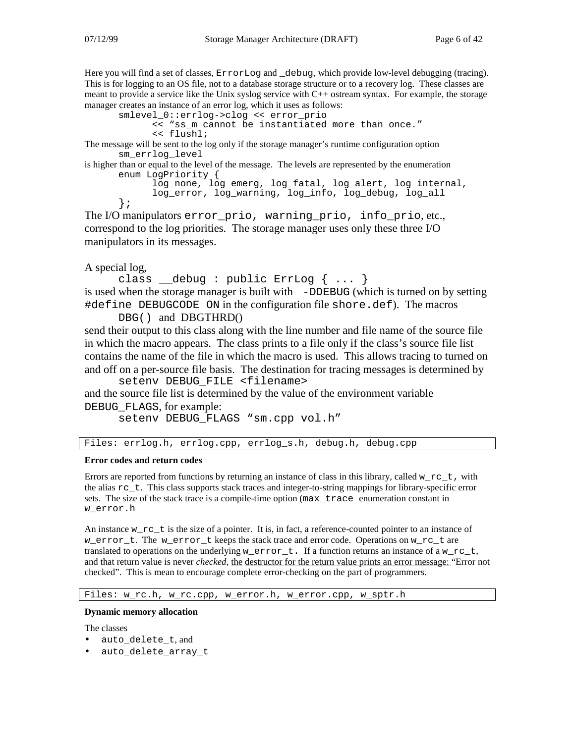Here you will find a set of classes, ErrorLog and \_debug, which provide low-level debugging (tracing). This is for logging to an OS file, not to a database storage structure or to a recovery log. These classes are meant to provide a service like the Unix syslog service with C++ ostream syntax. For example, the storage

```
manager creates an instance of an error log, which it uses as follows:
       smlevel_0::errlog->clog << error_prio
              << "ss_m cannot be instantiated more than once."
              << flushl;
```
The message will be sent to the log only if the storage manager's runtime configuration option sm\_errlog\_level

is higher than or equal to the level of the message. The levels are represented by the enumeration enum LogPriority {

```
log_none, log_emerg, log_fatal, log_alert, log_internal,
log_error, log_warning, log_info, log_debug, log_all
```
The I/O manipulators error\_prio, warning\_prio, info\_prio, etc., correspond to the log priorities. The storage manager uses only these three I/O manipulators in its messages.

#### A special log,

};

```
class debug : public ErrLog \{ \ldots \}is used when the storage manager is built with -DDEBUG (which is turned on by setting
#define DEBUGCODE ON in the configuration file shore.def). The macros
```
#### DBG() and DBGTHRD()

send their output to this class along with the line number and file name of the source file in which the macro appears. The class prints to a file only if the class's source file list contains the name of the file in which the macro is used. This allows tracing to turned on and off on a per-source file basis. The destination for tracing messages is determined by

setenv DEBUG\_FILE <filename> and the source file list is determined by the value of the environment variable DEBUG\_FLAGS, for example:

```
setenv DEBUG_FLAGS "sm.cpp vol.h"
```
Files: errlog.h, errlog.cpp, errlog\_s.h, debug.h, debug.cpp

#### **Error codes and return codes**

Errors are reported from functions by returning an instance of class in this library, called w  $rc$ t, with the alias  $rc$  t. This class supports stack traces and integer-to-string mappings for library-specific error sets. The size of the stack trace is a compile-time option (max\_trace enumeration constant in w\_error.h

An instance  $w\_rc\_t$  is the size of a pointer. It is, in fact, a reference-counted pointer to an instance of w\_error\_t. The w\_error\_t keeps the stack trace and error code. Operations on w\_rc\_t are translated to operations on the underlying w\_error\_t. If a function returns an instance of a w\_rc\_t, and that return value is never *checked,* the destructor for the return value prints an error message: "Error not checked". This is mean to encourage complete error-checking on the part of programmers.

Files: w\_rc.h, w\_rc.cpp, w\_error.h, w\_error.cpp, w\_sptr.h

#### **Dynamic memory allocation**

The classes

- auto\_delete\_t, and
- auto delete array t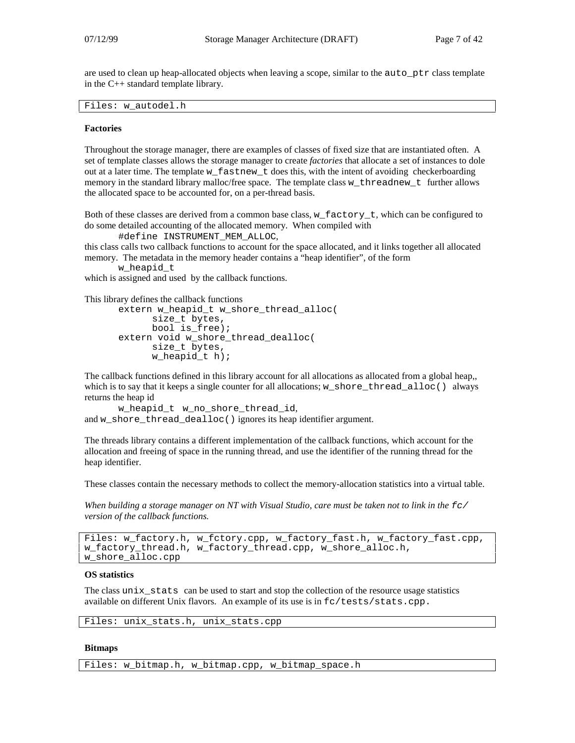are used to clean up heap-allocated objects when leaving a scope, similar to the auto\_ptr class template in the C++ standard template library.

Files: w\_autodel.h

#### **Factories**

Throughout the storage manager, there are examples of classes of fixed size that are instantiated often. A set of template classes allows the storage manager to create *factories* that allocate a set of instances to dole out at a later time. The template w  $f$  fastnew  $t$  does this, with the intent of avoiding checkerboarding memory in the standard library malloc/free space. The template class w\_threadnew\_t further allows the allocated space to be accounted for, on a per-thread basis.

Both of these classes are derived from a common base class, w\_factory\_t, which can be configured to do some detailed accounting of the allocated memory. When compiled with

#define INSTRUMENT\_MEM\_ALLOC,

this class calls two callback functions to account for the space allocated, and it links together all allocated memory. The metadata in the memory header contains a "heap identifier", of the form

```
w_heapid_t
```
which is assigned and used by the callback functions.

This library defines the callback functions

```
extern w_heapid_t w_shore_thread_alloc(
      size_t bytes,
     bool is_free);
extern void w_shore_thread_dealloc(
      size t bytes,
      w_heapid_t h);
```
The callback functions defined in this library account for all allocations as allocated from a global heap,, which is to say that it keeps a single counter for all allocations; w\_shore\_thread\_alloc() always returns the heap id

```
w_heapid_t w_no_shore_thread_id,
and w_shore_thread_dealloc() ignores its heap identifier argument.
```
The threads library contains a different implementation of the callback functions, which account for the allocation and freeing of space in the running thread, and use the identifier of the running thread for the heap identifier.

These classes contain the necessary methods to collect the memory-allocation statistics into a virtual table.

When building a storage manager on NT with Visual Studio, care must be taken not to link in the  $\epsilon$ *version of the callback functions.*

```
Files: w_factory.h, w_fctory.cpp, w_factory_fast.h, w_factory_fast.cpp,
w_factory_thread.h, w_factory_thread.cpp, w_shore_alloc.h,
w_shore_alloc.cpp
```
#### **OS statistics**

The class unix stats can be used to start and stop the collection of the resource usage statistics available on different Unix flavors. An example of its use is in fc/tests/stats.cpp.

```
Files: unix stats.h, unix stats.cpp
```
#### **Bitmaps**

Files: w\_bitmap.h, w\_bitmap.cpp, w\_bitmap\_space.h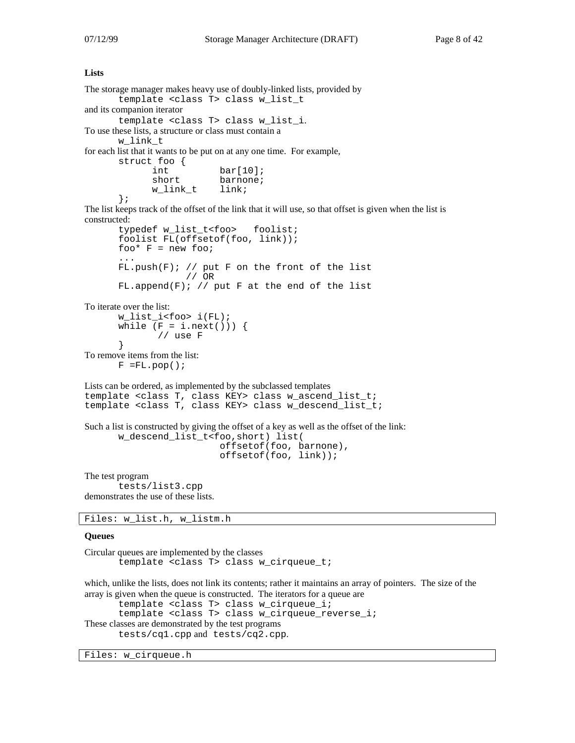#### **Lists**

```
The storage manager makes heavy use of doubly-linked lists, provided by
       template <class T> class w_list_t
and its companion iterator
       template <class T> class w_list_i.
To use these lists, a structure or class must contain a
       w_link_t
for each list that it wants to be put on at any one time. For example,
       struct foo {
                             bar[10];
               short barnone;<br>w link t link;
               w linkt};
The list keeps track of the offset of the link that it will use, so that offset is given when the list is
constructed:
       typedef w_list_t<foo> foolist;
       foolist FL(offsetof(foo, link));
       foo* F = new foot...
       FL.push(F); // put F on the front of the list
                      // OR
       FL.append(F); // put F at the end of the list
To iterate over the list:
       w_list_i<foo> i(FL);
       while (F = i.next()) }
                // use F
       }
To remove items from the list:
       F = FL.pop();
Lists can be ordered, as implemented by the subclassed templates
template <class T, class KEY> class w_ascend_list_t;
template <class T, class KEY> class w_descend_list_t;
Such a list is constructed by giving the offset of a key as well as the offset of the link:
       w_descend_list_t<foo,short) list(
                              offsetof(foo, barnone),
                              offsetof(foo, link));
The test program
       tests/list3.cpp
demonstrates the use of these lists.
```
Files: w\_list.h, w\_listm.h

#### **Queues**

```
Circular queues are implemented by the classes
       template <class T> class w_cirqueue_t;
```
which, unlike the lists, does not link its contents; rather it maintains an array of pointers. The size of the array is given when the queue is constructed. The iterators for a queue are template <class T> class w\_cirqueue\_i; template <class T> class w\_cirqueue\_reverse\_i; These classes are demonstrated by the test programs tests/cq1.cpp and tests/cq2.cpp.

Files: w\_cirqueue.h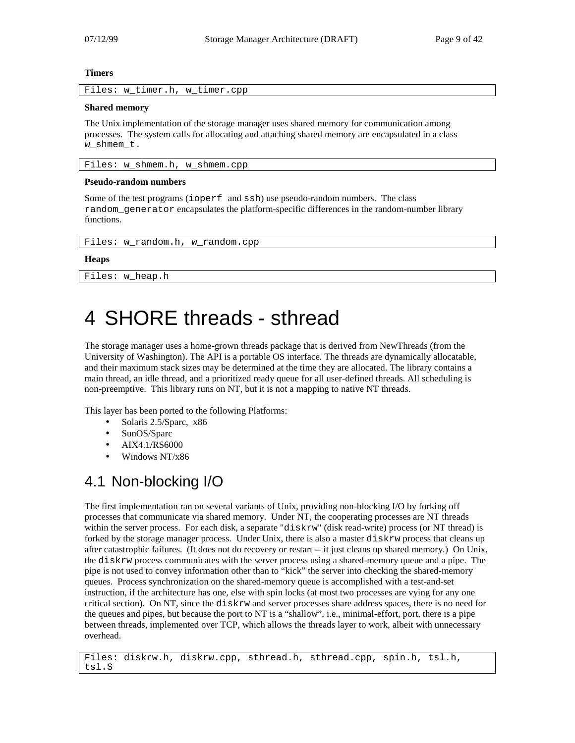#### **Timers**

Files: w\_timer.h, w\_timer.cpp

#### **Shared memory**

The Unix implementation of the storage manager uses shared memory for communication among processes. The system calls for allocating and attaching shared memory are encapsulated in a class w\_shmem\_t.

Files: w\_shmem.h, w\_shmem.cpp

#### **Pseudo-random numbers**

Some of the test programs (ioperf and ssh) use pseudo-random numbers. The class random\_generator encapsulates the platform-specific differences in the random-number library functions.

```
Files: w_random.h, w_random.cpp
```
#### **Heaps**

Files: w\_heap.h

# 4 SHORE threads - sthread

The storage manager uses a home-grown threads package that is derived from NewThreads (from the University of Washington). The API is a portable OS interface. The threads are dynamically allocatable, and their maximum stack sizes may be determined at the time they are allocated. The library contains a main thread, an idle thread, and a prioritized ready queue for all user-defined threads. All scheduling is non-preemptive. This library runs on NT, but it is not a mapping to native NT threads.

This layer has been ported to the following Platforms:

- Solaris 2.5/Sparc, x86
- SunOS/Sparc
- AIX4.1/RS6000
- Windows NT/x86

# 4.1 Non-blocking I/O

The first implementation ran on several variants of Unix, providing non-blocking I/O by forking off processes that communicate via shared memory. Under NT, the cooperating processes are NT threads within the server process. For each disk, a separate "diskrw" (disk read-write) process (or NT thread) is forked by the storage manager process. Under Unix, there is also a master diskrw process that cleans up after catastrophic failures. (It does not do recovery or restart -- it just cleans up shared memory.) On Unix, the diskrw process communicates with the server process using a shared-memory queue and a pipe. The pipe is not used to convey information other than to "kick" the server into checking the shared-memory queues. Process synchronization on the shared-memory queue is accomplished with a test-and-set instruction, if the architecture has one, else with spin locks (at most two processes are vying for any one critical section). On NT, since the diskrw and server processes share address spaces, there is no need for the queues and pipes, but because the port to NT is a "shallow", i.e., minimal-effort, port, there is a pipe between threads, implemented over TCP, which allows the threads layer to work, albeit with unnecessary overhead.

Files: diskrw.h, diskrw.cpp, sthread.h, sthread.cpp, spin.h, tsl.h, tsl.S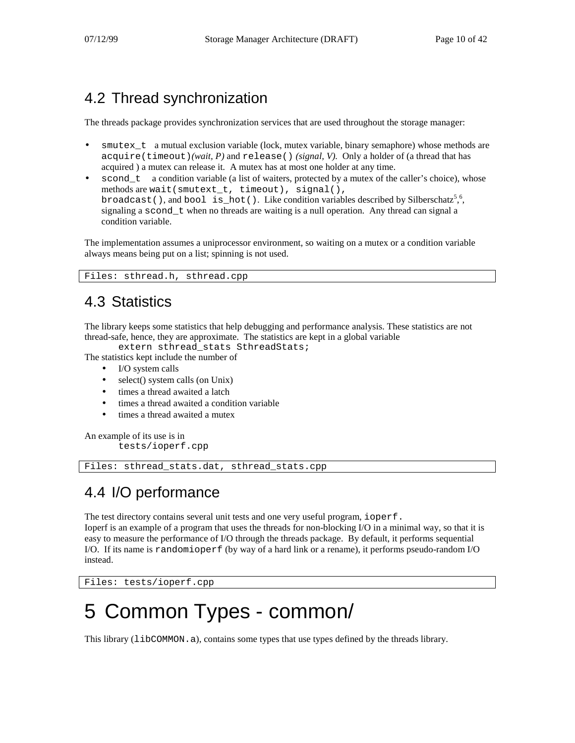# 4.2 Thread synchronization

The threads package provides synchronization services that are used throughout the storage manager:

- $\mathcal{L}$  a mutual exclusion variable (lock, mutex variable, binary semaphore) whose methods are acquire(timeout)*(wait, P)* and release() *(signal, V).* Only a holder of (a thread that has acquired ) a mutex can release it. A mutex has at most one holder at any time.
- scond t a condition variable (a list of waiters, protected by a mutex of the caller's choice), whose methods are wait(smutext\_t, timeout), signal(), broadcast(), and bool is\_hot(). Like condition variables described by Silberschatz<sup>56</sup>, signaling a scond\_t when no threads are waiting is a null operation. Any thread can signal a condition variable.

The implementation assumes a uniprocessor environment, so waiting on a mutex or a condition variable always means being put on a list; spinning is not used.

Files: sthread.h, sthread.cpp

# 4.3 Statistics

The library keeps some statistics that help debugging and performance analysis. These statistics are not thread-safe, hence, they are approximate. The statistics are kept in a global variable

extern sthread\_stats SthreadStats;

The statistics kept include the number of

- I/O system calls
- select() system calls (on Unix)
- times a thread awaited a latch
- times a thread awaited a condition variable
- times a thread awaited a mutex

An example of its use is in tests/ioperf.cpp

Files: sthread\_stats.dat, sthread\_stats.cpp

# 4.4 I/O performance

The test directory contains several unit tests and one very useful program, ioperf.

Ioperf is an example of a program that uses the threads for non-blocking I/O in a minimal way, so that it is easy to measure the performance of I/O through the threads package. By default, it performs sequential I/O. If its name is randomioperf (by way of a hard link or a rename), it performs pseudo-random I/O instead.

Files: tests/ioperf.cpp

# 5 Common Types - common/

This library (libCOMMON.a), contains some types that use types defined by the threads library.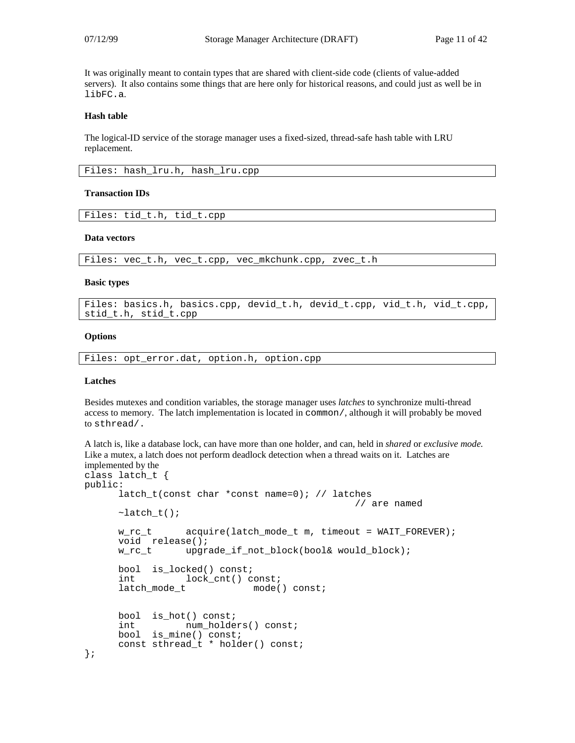It was originally meant to contain types that are shared with client-side code (clients of value-added servers). It also contains some things that are here only for historical reasons, and could just as well be in libFC.a.

#### **Hash table**

The logical-ID service of the storage manager uses a fixed-sized, thread-safe hash table with LRU replacement.

|  |  | Files: hash_lru.h, hash_lru.cpp |  |  |  |
|--|--|---------------------------------|--|--|--|
|--|--|---------------------------------|--|--|--|

#### **Transaction IDs**

Files: tid\_t.h, tid\_t.cpp

#### **Data vectors**

Files: vec\_t.h, vec\_t.cpp, vec\_mkchunk.cpp, zvec\_t.h

#### **Basic types**

Files: basics.h, basics.cpp, devid\_t.h, devid\_t.cpp, vid\_t.h, vid\_t.cpp, stid\_t.h, stid\_t.cpp

#### **Options**

Files: opt\_error.dat, option.h, option.cpp

#### **Latches**

Besides mutexes and condition variables, the storage manager uses *latches* to synchronize multi-thread access to memory. The latch implementation is located in common/, although it will probably be moved to sthread/.

A latch is, like a database lock, can have more than one holder, and can, held in *shared* or *exclusive mode.* Like a mutex, a latch does not perform deadlock detection when a thread waits on it. Latches are implemented by the class latch\_t {

```
public:
      latch_t(const char *const name=0); // latches
                                                // are named
     \simlatch t();
     w_rc_t acquire(latch_mode_t m, timeout = WAIT_FOREVER);
     void release();
     w_rc_t upgrade_if_not_block(bool& would_block);
     bool is locked() const;
      int lock_cnt() const;<br>latch_mode_t mode(
                             mode() const;bool is hot() const;
      int num_holders() const;
     bool is_mine() const;
     const sthread_t * holder() const;
};
```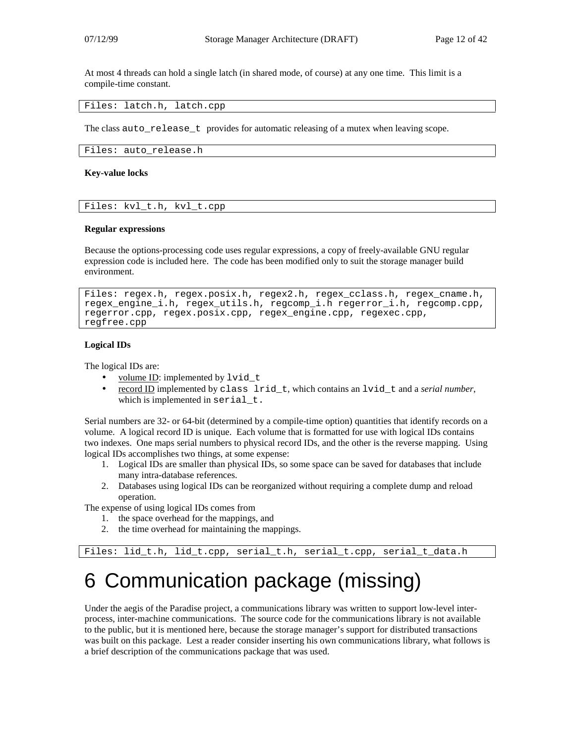At most 4 threads can hold a single latch (in shared mode, of course) at any one time. This limit is a compile-time constant.

Files: latch.h, latch.cpp

The class auto\_release\_t provides for automatic releasing of a mutex when leaving scope.

Files: auto\_release.h

#### **Key-value locks**

Files: kvl\_t.h, kvl\_t.cpp

#### **Regular expressions**

Because the options-processing code uses regular expressions, a copy of freely-available GNU regular expression code is included here. The code has been modified only to suit the storage manager build environment.

```
Files: regex.h, regex.posix.h, regex2.h, regex_cclass.h, regex_cname.h,
regex_engine_i.h, regex_utils.h, regcomp_i.h regerror_i.h, regcomp.cpp,
regerror.cpp, regex.posix.cpp, regex_engine.cpp, regexec.cpp,
regfree.cpp
```
#### **Logical IDs**

The logical IDs are:

- volume ID: implemented by lvid t
- record ID implemented by class lrid\_t, which contains an lvid\_t and a *serial number*, which is implemented in serial\_t.

Serial numbers are 32- or 64-bit (determined by a compile-time option) quantities that identify records on a volume. A logical record ID is unique. Each volume that is formatted for use with logical IDs contains two indexes. One maps serial numbers to physical record IDs, and the other is the reverse mapping. Using logical IDs accomplishes two things, at some expense:

- 1. Logical IDs are smaller than physical IDs, so some space can be saved for databases that include many intra-database references.
- 2. Databases using logical IDs can be reorganized without requiring a complete dump and reload operation.

The expense of using logical IDs comes from

- 1. the space overhead for the mappings, and
- 2. the time overhead for maintaining the mappings.

```
Files: lid_t.h, lid_t.cpp, serial_t.h, serial_t.cpp, serial_t_data.h
```
# 6 Communication package (missing)

Under the aegis of the Paradise project, a communications library was written to support low-level interprocess, inter-machine communications. The source code for the communications library is not available to the public, but it is mentioned here, because the storage manager's support for distributed transactions was built on this package. Lest a reader consider inserting his own communications library, what follows is a brief description of the communications package that was used.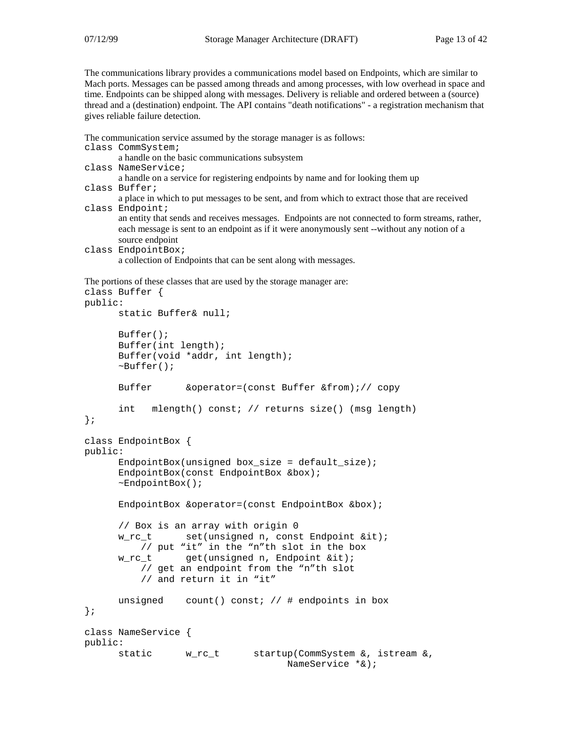The communications library provides a communications model based on Endpoints, which are similar to Mach ports. Messages can be passed among threads and among processes, with low overhead in space and time. Endpoints can be shipped along with messages. Delivery is reliable and ordered between a (source) thread and a (destination) endpoint. The API contains "death notifications" - a registration mechanism that gives reliable failure detection.

```
The communication service assumed by the storage manager is as follows:
class CommSystem;
        a handle on the basic communications subsystem
class NameService;
        a handle on a service for registering endpoints by name and for looking them up
class Buffer;
        a place in which to put messages to be sent, and from which to extract those that are received
class Endpoint;
        an entity that sends and receives messages. Endpoints are not connected to form streams, rather,
        each message is sent to an endpoint as if it were anonymously sent --without any notion of a
        source endpoint
```

```
class EndpointBox;
        a collection of Endpoints that can be sent along with messages.
```

```
The portions of these classes that are used by the storage manager are:
class Buffer {
```

```
public:
     static Buffer& null;
     Buffer();
     Buffer(int length);
     Buffer(void *addr, int length);
      \nuBuffer();
     Buffer &operator=(const Buffer &from);// copy
      int mlength() const; // returns size() (msg length)
};
class EndpointBox {
public:
     EndpointBox(unsigned box_size = default_size);EndpointBox(const EndpointBox &box);
      ~EndpointBox();
      EndpointBox &operator=(const EndpointBox &box);
      // Box is an array with origin 0
     w_rc_t set(unsigned n, const Endpoint &it);
         // put "it" in the "n"th slot in the box
     w_rc_t get(unsigned n, Endpoint &it);
         // get an endpoint from the "n"th slot
         // and return it in "it"
     unsigned count() const; // # endpoints in box
};
class NameService {
public:
     static w_rc_t startup(CommSystem &, istream &,
                                   NameService *&);
```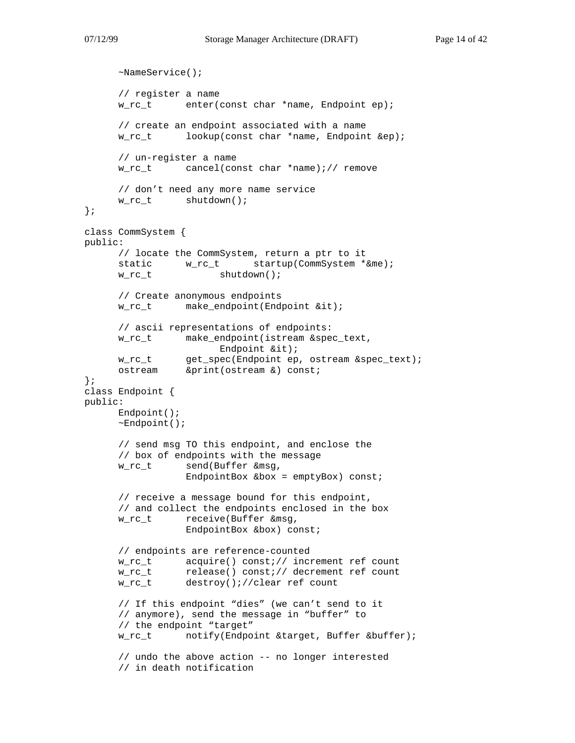```
~NameService();
     // register a name
     w_rc_t enter(const char *name, Endpoint ep);
     // create an endpoint associated with a name
     w_rc_t lookup(const char *name, Endpoint &ep);
     // un-register a name
     w_rc_t cancel(const char *name);// remove
     // don't need any more name service
     w_rc_t shutdown();
};
class CommSystem {
public:
     // locate the CommSystem, return a ptr to it
     static w\_rc\_t startup(CommSystem *&me);
     w_rc_t shutdown();
     // Create anonymous endpoints
     w_rc_t make_endpoint(Endpoint &it);
     // ascii representations of endpoints:
     w_rc_t make_endpoint(istream &spec_text,
                      Endpoint &it);
      w_rc_t get_spec(Endpoint ep, ostream &spec_text);
      ostream &print(ostream &) const;
};
class Endpoint {
public:
     Endpoint();
     ~Endpoint();
     // send msg TO this endpoint, and enclose the
     // box of endpoints with the message
     w rc t send(Buffer &msq,
                 EndpointBox &\text{box} = \text{emptyBox} const;
     // receive a message bound for this endpoint,
     // and collect the endpoints enclosed in the box
     w_rc_t receive(Buffer &msg,
                 EndpointBox &box) const;
     // endpoints are reference-counted
     w_rc_t acquire() const;// increment ref count
     w_rc_t release() const;// decrement ref count
     w_rc_t destroy();//clear ref count
     // If this endpoint "dies" (we can't send to it
     // anymore), send the message in "buffer" to
     // the endpoint "target"
     w rc t notify(Endpoint &target, Buffer &buffer);
     // undo the above action -- no longer interested
     // in death notification
```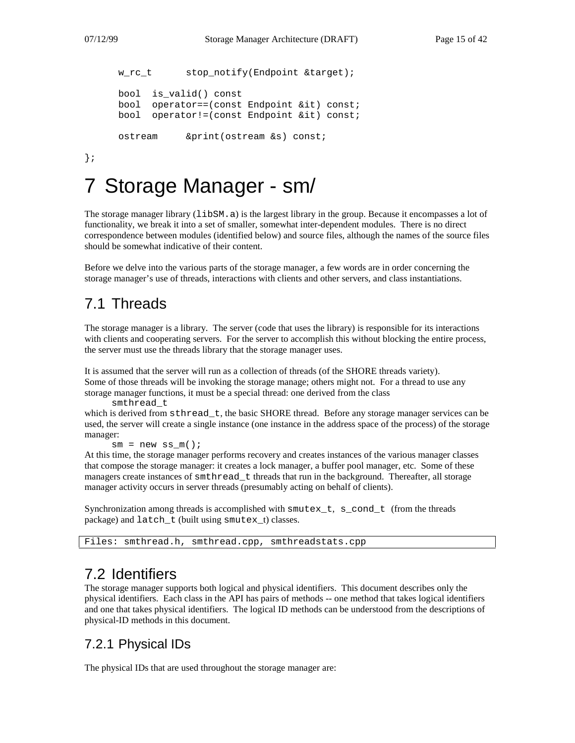```
w_rc_t stop_notify(Endpoint &target);
bool is_valid() const
bool operator==(const Endpoint &it) const;
bool operator!=(const Endpoint &it) const;
ostream &print(ostream &s) const;
```
};

# 7 Storage Manager - sm/

The storage manager library (libSM.a) is the largest library in the group. Because it encompasses a lot of functionality, we break it into a set of smaller, somewhat inter-dependent modules. There is no direct correspondence between modules (identified below) and source files, although the names of the source files should be somewhat indicative of their content.

Before we delve into the various parts of the storage manager, a few words are in order concerning the storage manager's use of threads, interactions with clients and other servers, and class instantiations.

# 7.1 Threads

The storage manager is a library. The server (code that uses the library) is responsible for its interactions with clients and cooperating servers. For the server to accomplish this without blocking the entire process, the server must use the threads library that the storage manager uses.

It is assumed that the server will run as a collection of threads (of the SHORE threads variety). Some of those threads will be invoking the storage manage; others might not. For a thread to use any storage manager functions, it must be a special thread: one derived from the class

smthread\_t which is derived from  $\text{sthread}_t$ , the basic SHORE thread. Before any storage manager services can be used, the server will create a single instance (one instance in the address space of the process) of the storage manager:

 $sm = new ss_m()$ ;

At this time, the storage manager performs recovery and creates instances of the various manager classes that compose the storage manager: it creates a lock manager, a buffer pool manager, etc. Some of these managers create instances of smthread\_t threads that run in the background. Thereafter, all storage manager activity occurs in server threads (presumably acting on behalf of clients).

Synchronization among threads is accomplished with smutex\_t, s\_cond\_t (from the threads package) and latch t (built using smutex t) classes.

```
Files: smthread.h, smthread.cpp, smthreadstats.cpp
```
# 7.2 Identifiers

The storage manager supports both logical and physical identifiers. This document describes only the physical identifiers. Each class in the API has pairs of methods -- one method that takes logical identifiers and one that takes physical identifiers. The logical ID methods can be understood from the descriptions of physical-ID methods in this document.

### 7.2.1 Physical IDs

The physical IDs that are used throughout the storage manager are: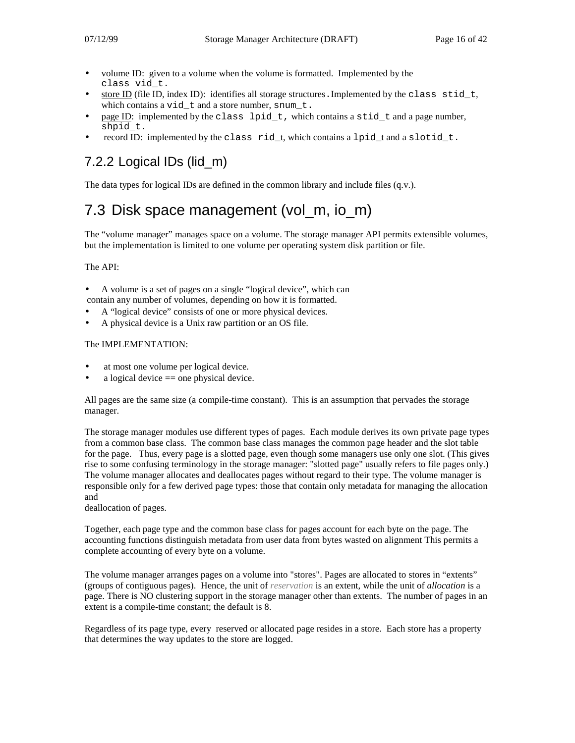- volume ID: given to a volume when the volume is formatted. Implemented by the class vid\_t.
- store ID (file ID, index ID): identifies all storage structures. Implemented by the class stid\_t, which contains a vid t and a store number, snum t.
- page ID: implemented by the class lpid  $t$ , which contains a stid  $t$  and a page number, shpid\_t.
- record ID: implemented by the class  $rid_t$ , which contains a lpid\_t and a slotid\_t.

# 7.2.2 Logical IDs (lid\_m)

The data types for logical IDs are defined in the common library and include files (q.v.).

# 7.3 Disk space management (vol m, io m)

The "volume manager" manages space on a volume. The storage manager API permits extensible volumes, but the implementation is limited to one volume per operating system disk partition or file.

#### The API:

- A volume is a set of pages on a single "logical device", which can
- contain any number of volumes, depending on how it is formatted.
- A "logical device" consists of one or more physical devices.
- A physical device is a Unix raw partition or an OS file.

#### The IMPLEMENTATION:

- at most one volume per logical device.
- a logical device  $==$  one physical device.

All pages are the same size (a compile-time constant). This is an assumption that pervades the storage manager.

The storage manager modules use different types of pages. Each module derives its own private page types from a common base class. The common base class manages the common page header and the slot table for the page. Thus, every page is a slotted page, even though some managers use only one slot. (This gives rise to some confusing terminology in the storage manager: "slotted page" usually refers to file pages only.) The volume manager allocates and deallocates pages without regard to their type. The volume manager is responsible only for a few derived page types: those that contain only metadata for managing the allocation and

deallocation of pages.

Together, each page type and the common base class for pages account for each byte on the page. The accounting functions distinguish metadata from user data from bytes wasted on alignment This permits a complete accounting of every byte on a volume.

The volume manager arranges pages on a volume into "stores". Pages are allocated to stores in "extents" (groups of contiguous pages). Hence, the unit of *reservation* is an extent, while the unit of *allocation* is a page. There is NO clustering support in the storage manager other than extents. The number of pages in an extent is a compile-time constant; the default is 8.

Regardless of its page type, every reserved or allocated page resides in a store. Each store has a property that determines the way updates to the store are logged.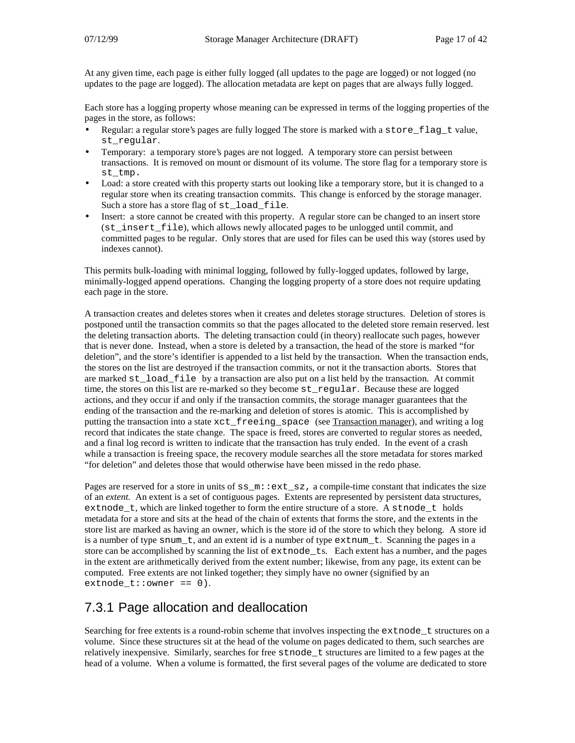At any given time, each page is either fully logged (all updates to the page are logged) or not logged (no updates to the page are logged). The allocation metadata are kept on pages that are always fully logged.

Each store has a logging property whose meaning can be expressed in terms of the logging properties of the pages in the store, as follows:

- Regular: a regular store's pages are fully logged The store is marked with a store\_flag\_t value, st regular.
- Temporary: a temporary store's pages are not logged. A temporary store can persist between transactions. It is removed on mount or dismount of its volume. The store flag for a temporary store is st\_tmp.
- Load: a store created with this property starts out looking like a temporary store, but it is changed to a regular store when its creating transaction commits. This change is enforced by the storage manager. Such a store has a store flag of st\_load\_file.
- Insert: a store cannot be created with this property. A regular store can be changed to an insert store (st\_insert\_file), which allows newly allocated pages to be unlogged until commit, and committed pages to be regular. Only stores that are used for files can be used this way (stores used by indexes cannot).

This permits bulk-loading with minimal logging, followed by fully-logged updates, followed by large, minimally-logged append operations. Changing the logging property of a store does not require updating each page in the store.

A transaction creates and deletes stores when it creates and deletes storage structures. Deletion of stores is postponed until the transaction commits so that the pages allocated to the deleted store remain reserved. lest the deleting transaction aborts. The deleting transaction could (in theory) reallocate such pages, however that is never done. Instead, when a store is deleted by a transaction, the head of the store is marked "for deletion", and the store's identifier is appended to a list held by the transaction. When the transaction ends, the stores on the list are destroyed if the transaction commits, or not it the transaction aborts. Stores that are marked st\_load\_file by a transaction are also put on a list held by the transaction. At commit time, the stores on this list are re-marked so they become st\_regular. Because these are logged actions, and they occur if and only if the transaction commits, the storage manager guarantees that the ending of the transaction and the re-marking and deletion of stores is atomic. This is accomplished by putting the transaction into a state  $xct\_freeing\_space$  (see Transaction manager), and writing a log record that indicates the state change. The space is freed, stores are converted to regular stores as needed, and a final log record is written to indicate that the transaction has truly ended. In the event of a crash while a transaction is freeing space, the recovery module searches all the store metadata for stores marked "for deletion" and deletes those that would otherwise have been missed in the redo phase.

Pages are reserved for a store in units of  $ss_m$ :  $ext\_sz$ , a compile-time constant that indicates the size of an *extent.* An extent is a set of contiguous pages. Extents are represented by persistent data structures, extnode  $t$ , which are linked together to form the entire structure of a store. A stnode  $t$  holds metadata for a store and sits at the head of the chain of extents that forms the store, and the extents in the store list are marked as having an owner, which is the store id of the store to which they belong. A store id is a number of type snum\_t, and an extent id is a number of type extnum\_t. Scanning the pages in a store can be accomplished by scanning the list of extnode\_ts. Each extent has a number, and the pages in the extent are arithmetically derived from the extent number; likewise, from any page, its extent can be computed. Free extents are not linked together; they simply have no owner (signified by an  $extnode_t::current == 0$ .

### 7.3.1 Page allocation and deallocation

Searching for free extents is a round-robin scheme that involves inspecting the extracted t structures on a volume. Since these structures sit at the head of the volume on pages dedicated to them, such searches are relatively inexpensive. Similarly, searches for free stnode\_t structures are limited to a few pages at the head of a volume. When a volume is formatted, the first several pages of the volume are dedicated to store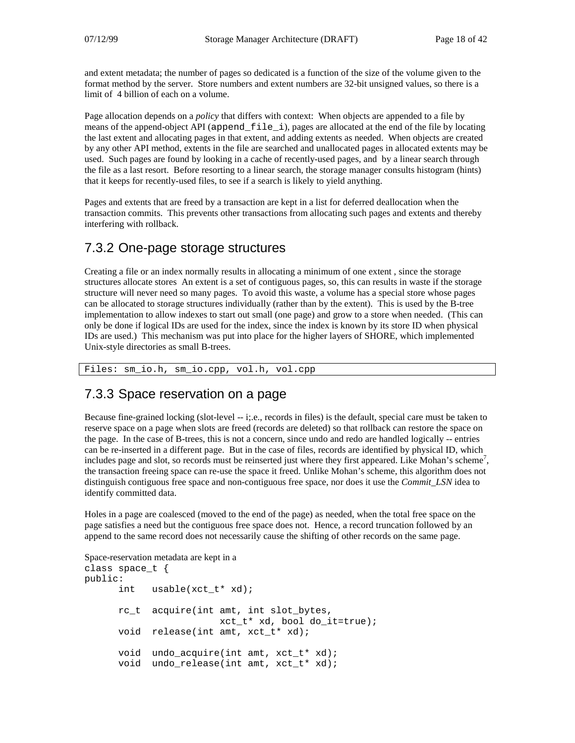and extent metadata; the number of pages so dedicated is a function of the size of the volume given to the format method by the server. Store numbers and extent numbers are 32-bit unsigned values, so there is a limit of 4 billion of each on a volume.

Page allocation depends on a *policy* that differs with context: When objects are appended to a file by means of the append-object API (append\_file\_i), pages are allocated at the end of the file by locating the last extent and allocating pages in that extent, and adding extents as needed. When objects are created by any other API method, extents in the file are searched and unallocated pages in allocated extents may be used. Such pages are found by looking in a cache of recently-used pages, and by a linear search through the file as a last resort. Before resorting to a linear search, the storage manager consults histogram (hints) that it keeps for recently-used files, to see if a search is likely to yield anything.

Pages and extents that are freed by a transaction are kept in a list for deferred deallocation when the transaction commits. This prevents other transactions from allocating such pages and extents and thereby interfering with rollback.

### 7.3.2 One-page storage structures

Creating a file or an index normally results in allocating a minimum of one extent , since the storage structures allocate stores An extent is a set of contiguous pages, so, this can results in waste if the storage structure will never need so many pages. To avoid this waste, a volume has a special store whose pages can be allocated to storage structures individually (rather than by the extent). This is used by the B-tree implementation to allow indexes to start out small (one page) and grow to a store when needed. (This can only be done if logical IDs are used for the index, since the index is known by its store ID when physical IDs are used.) This mechanism was put into place for the higher layers of SHORE, which implemented Unix-style directories as small B-trees.

Files: sm\_io.h, sm\_io.cpp, vol.h, vol.cpp

### 7.3.3 Space reservation on a page

Because fine-grained locking (slot-level -- i;.e., records in files) is the default, special care must be taken to reserve space on a page when slots are freed (records are deleted) so that rollback can restore the space on the page. In the case of B-trees, this is not a concern, since undo and redo are handled logically -- entries can be re-inserted in a different page. But in the case of files, records are identified by physical ID, which includes page and slot, so records must be reinserted just where they first appeared. Like Mohan's scheme<sup>7</sup>, the transaction freeing space can re-use the space it freed. Unlike Mohan's scheme, this algorithm does not distinguish contiguous free space and non-contiguous free space, nor does it use the *Commit\_LSN* idea to identify committed data.

Holes in a page are coalesced (moved to the end of the page) as needed, when the total free space on the page satisfies a need but the contiguous free space does not. Hence, a record truncation followed by an append to the same record does not necessarily cause the shifting of other records on the same page.

```
Space-reservation metadata are kept in a
class space_t {
public:
      int usable(xct_t* xd);
      rc t acquire(int amt, int slot bytes,
                         xct t^* xd, bool do it=true);
      void release(int amt, xct_t* xd);
      void undo_acquire(int amt, xct_t* xd);
      void undo_release(int amt, xct_t* xd);
```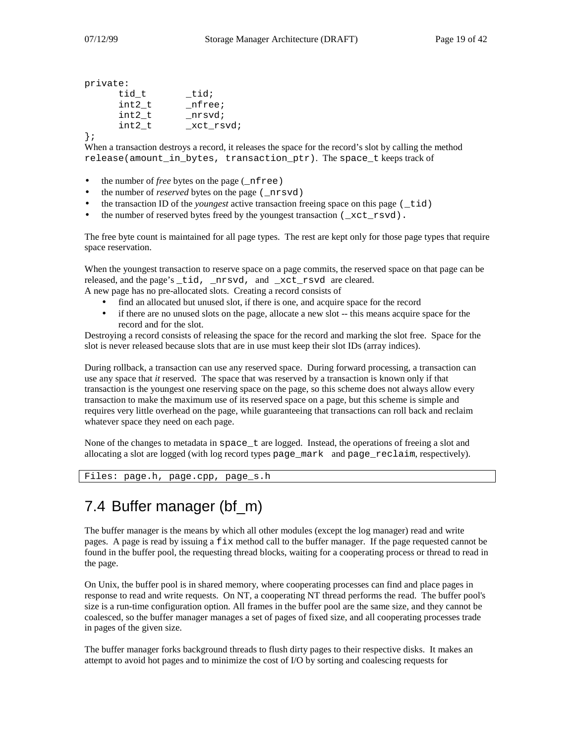```
private:
```

| tid;       |
|------------|
| nfree;     |
| nrsvd;     |
| _xct_rsvd; |
|            |

};

When a transaction destroys a record, it releases the space for the record's slot by calling the method release(amount in bytes, transaction  $ptr)$ . The space t keeps track of

- the number of *free* bytes on the page (\_nfree)
- the number of *reserved* bytes on the page (\_nrsvd)
- the transaction ID of the *youngest* active transaction freeing space on this page (\_tid)
- the number of reserved bytes freed by the youngest transaction  $( \times ct \text{ rsvd}).$

The free byte count is maintained for all page types. The rest are kept only for those page types that require space reservation.

When the youngest transaction to reserve space on a page commits, the reserved space on that page can be released, and the page's tid, nrsvd, and xct rsvd are cleared. A new page has no pre-allocated slots. Creating a record consists of

- find an allocated but unused slot, if there is one, and acquire space for the record
- if there are no unused slots on the page, allocate a new slot -- this means acquire space for the record and for the slot.

Destroying a record consists of releasing the space for the record and marking the slot free. Space for the slot is never released because slots that are in use must keep their slot IDs (array indices).

During rollback, a transaction can use any reserved space. During forward processing, a transaction can use any space that *it* reserved. The space that was reserved by a transaction is known only if that transaction is the youngest one reserving space on the page, so this scheme does not always allow every transaction to make the maximum use of its reserved space on a page, but this scheme is simple and requires very little overhead on the page, while guaranteeing that transactions can roll back and reclaim whatever space they need on each page.

None of the changes to metadata in space  $\pm$  are logged. Instead, the operations of freeing a slot and allocating a slot are logged (with log record types page\_mark and page\_reclaim, respectively).

```
Files: page.h, page.cpp, page_s.h
```
# 7.4 Buffer manager (bf\_m)

The buffer manager is the means by which all other modules (except the log manager) read and write pages. A page is read by issuing a fix method call to the buffer manager. If the page requested cannot be found in the buffer pool, the requesting thread blocks, waiting for a cooperating process or thread to read in the page.

On Unix, the buffer pool is in shared memory, where cooperating processes can find and place pages in response to read and write requests. On NT, a cooperating NT thread performs the read. The buffer pool's size is a run-time configuration option. All frames in the buffer pool are the same size, and they cannot be coalesced, so the buffer manager manages a set of pages of fixed size, and all cooperating processes trade in pages of the given size.

The buffer manager forks background threads to flush dirty pages to their respective disks. It makes an attempt to avoid hot pages and to minimize the cost of I/O by sorting and coalescing requests for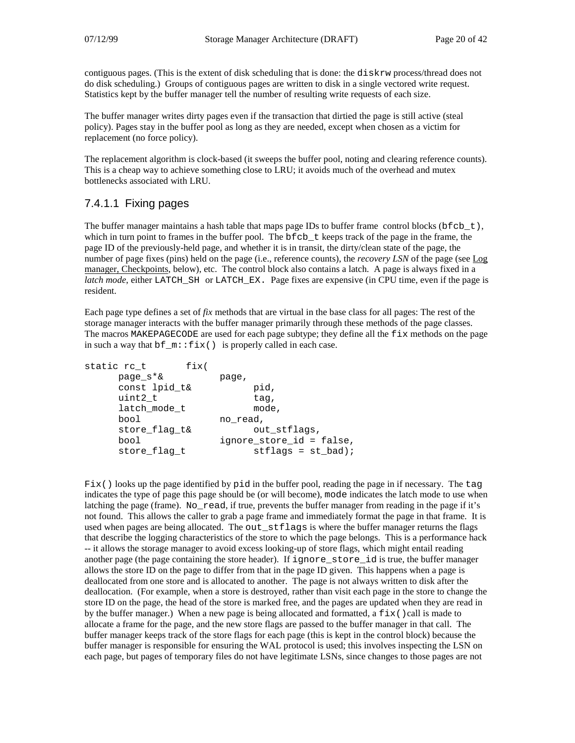contiguous pages. (This is the extent of disk scheduling that is done: the diskrw process/thread does not do disk scheduling.) Groups of contiguous pages are written to disk in a single vectored write request. Statistics kept by the buffer manager tell the number of resulting write requests of each size.

The buffer manager writes dirty pages even if the transaction that dirtied the page is still active (steal policy). Pages stay in the buffer pool as long as they are needed, except when chosen as a victim for replacement (no force policy).

The replacement algorithm is clock-based (it sweeps the buffer pool, noting and clearing reference counts). This is a cheap way to achieve something close to LRU; it avoids much of the overhead and mutex bottlenecks associated with LRU.

#### 7.4.1.1 Fixing pages

The buffer manager maintains a hash table that maps page IDs to buffer frame control blocks (bfcb\_t), which in turn point to frames in the buffer pool. The bfcb\_t keeps track of the page in the frame, the page ID of the previously-held page, and whether it is in transit, the dirty/clean state of the page, the number of page fixes (pins) held on the page (i.e., reference counts), the *recovery LSN* of the page (see Log manager, Checkpoints, below), etc. The control block also contains a latch. A page is always fixed in a *latch mode*, either LATCH\_SH or LATCH\_EX. Page fixes are expensive (in CPU time, even if the page is resident.

Each page type defines a set of *fix* methods that are virtual in the base class for all pages: The rest of the storage manager interacts with the buffer manager primarily through these methods of the page classes. The macros MAKEPAGECODE are used for each page subtype; they define all the fix methods on the page in such a way that  $bf m::fix()$  is properly called in each case.

| fix(<br>static rc_t |                          |
|---------------------|--------------------------|
| page s*&            | page,                    |
| const lpid_t&       | pid,                     |
| uint2 t             | tag,                     |
| latch mode t        | mode,                    |
| bool                | no read,                 |
| store flag t&       | out stflags,             |
| bool                | ignore_store_id = false, |
| store flag t        | $stflags = st\_bad$ ;    |
|                     |                          |

Fix() looks up the page identified by pid in the buffer pool, reading the page in if necessary. The tag indicates the type of page this page should be (or will become), mode indicates the latch mode to use when latching the page (frame). No read, if true, prevents the buffer manager from reading in the page if it's not found. This allows the caller to grab a page frame and immediately format the page in that frame. It is used when pages are being allocated. The out\_stflags is where the buffer manager returns the flags that describe the logging characteristics of the store to which the page belongs. This is a performance hack -- it allows the storage manager to avoid excess looking-up of store flags, which might entail reading another page (the page containing the store header). If ignore store id is true, the buffer manager allows the store ID on the page to differ from that in the page ID given. This happens when a page is deallocated from one store and is allocated to another. The page is not always written to disk after the deallocation. (For example, when a store is destroyed, rather than visit each page in the store to change the store ID on the page, the head of the store is marked free, and the pages are updated when they are read in by the buffer manager.) When a new page is being allocated and formatted, a  $fix()$ call is made to allocate a frame for the page, and the new store flags are passed to the buffer manager in that call. The buffer manager keeps track of the store flags for each page (this is kept in the control block) because the buffer manager is responsible for ensuring the WAL protocol is used; this involves inspecting the LSN on each page, but pages of temporary files do not have legitimate LSNs, since changes to those pages are not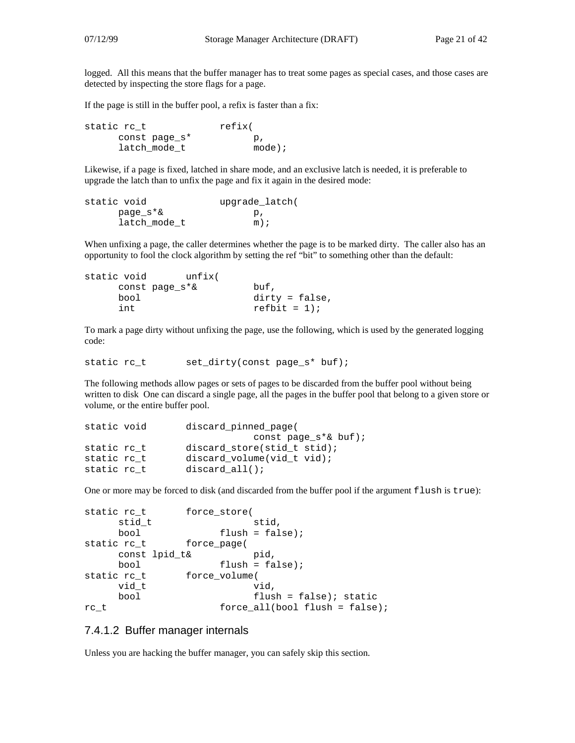logged. All this means that the buffer manager has to treat some pages as special cases, and those cases are detected by inspecting the store flags for a page.

If the page is still in the buffer pool, a refix is faster than a fix:

static rc t refix( const page\_s\* p, latch\_mode\_t mode);

Likewise, if a page is fixed, latched in share mode, and an exclusive latch is needed, it is preferable to upgrade the latch than to unfix the page and fix it again in the desired mode:

```
static void upgrade_latch(
   page_s*& p,
   latch mode t m);
```
When unfixing a page, the caller determines whether the page is to be marked dirty. The caller also has an opportunity to fool the clock algorithm by setting the ref "bit" to something other than the default:

```
static void unfix(
   const page_s*& buf,
   bool dirty = false,
   int refbit = 1);
```
To mark a page dirty without unfixing the page, use the following, which is used by the generated logging code:

```
static rc t set dirty(const page s* buf);
```
The following methods allow pages or sets of pages to be discarded from the buffer pool without being written to disk One can discard a single page, all the pages in the buffer pool that belong to a given store or volume, or the entire buffer pool.

```
static void discard_pinned_page(
                          const page_s*& buf);
static rc_t discard_store(stid_t stid);
static rc_t discard_volume(vid_t vid);
static rc_t discard_all();
```
One or more may be forced to disk (and discarded from the buffer pool if the argument flush is true):

```
static rc_t force_store(
   stid t stid,
   bool flush = false);
static rc_t force_page(
   const lpid_t& pid,
   bool flush = false);
static rc_t force_volume(
   vid t vid,
   bool flush = false); static
rc_t force_all(bool flush = false);
```
#### 7.4.1.2 Buffer manager internals

Unless you are hacking the buffer manager, you can safely skip this section.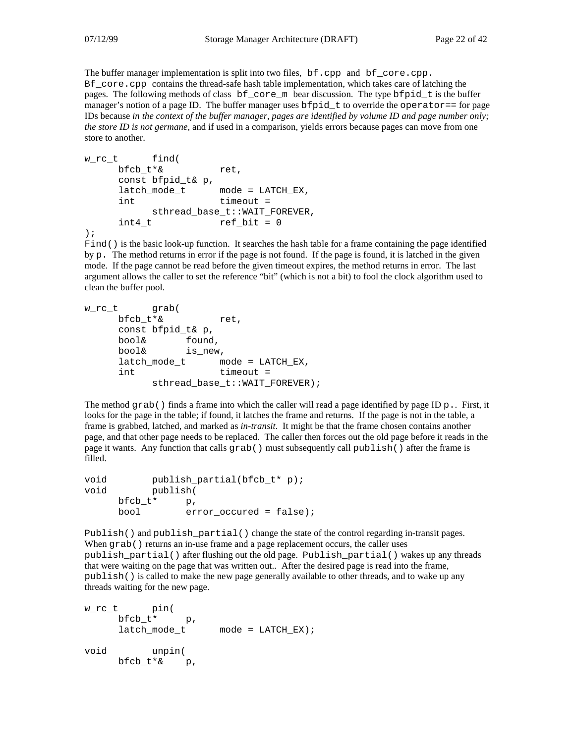The buffer manager implementation is split into two files, bf.cpp and bf\_core.cpp. Bf core, cpp contains the thread-safe hash table implementation, which takes care of latching the pages. The following methods of class bf\_core\_m bear discussion. The type bfpid\_t is the buffer manager's notion of a page ID. The buffer manager uses  $bfpid_t$  to override the operator== for page IDs because *in the context of the buffer manager, pages are identified by volume ID and page number only; the store ID is not germane*, and if used in a comparison, yields errors because pages can move from one store to another.

```
w_rc_t find(
    bfcb_t*& ret,
    const bfpid_t& p,
    latch_mode_t mode = LATCH_EX,
    int timeout =
         sthread_base_t::WAIT_FOREVER,
    int4_t ref_bit = 0
);
```
Find() is the basic look-up function. It searches the hash table for a frame containing the page identified by  $p$ . The method returns in error if the page is not found. If the page is found, it is latched in the given mode. If the page cannot be read before the given timeout expires, the method returns in error. The last argument allows the caller to set the reference "bit" (which is not a bit) to fool the clock algorithm used to clean the buffer pool.

```
w_rc_t grab(
    bfcb_t*& ret,
    const bfpid_t& p,
    bool& found,
    bool& is_new,
    latch mode t mode = LATCH EX,
    int timeout =
         sthread_base_t::WAIT_FOREVER);
```
The method grab() finds a frame into which the caller will read a page identified by page ID p.. First, it looks for the page in the table; if found, it latches the frame and returns. If the page is not in the table, a frame is grabbed, latched, and marked as *in-transit*. It might be that the frame chosen contains another page, and that other page needs to be replaced. The caller then forces out the old page before it reads in the page it wants. Any function that calls grab() must subsequently call publish() after the frame is filled.

```
void publish_partial(bfcb_t* p);
void publish(
    bfcb_t* p,
    bool error_occured = false);
```
Publish() and publish\_partial() change the state of the control regarding in-transit pages. When grab() returns an in-use frame and a page replacement occurs, the caller uses publish\_partial() after flushing out the old page. Publish\_partial() wakes up any threads that were waiting on the page that was written out.. After the desired page is read into the frame, publish() is called to make the new page generally available to other threads, and to wake up any threads waiting for the new page.

```
w_rc_t pin(
    bfcb_t* p,
    latch_mode_t mode = LATCH_EX);
void unpin(
    bfcb_t*& p,
```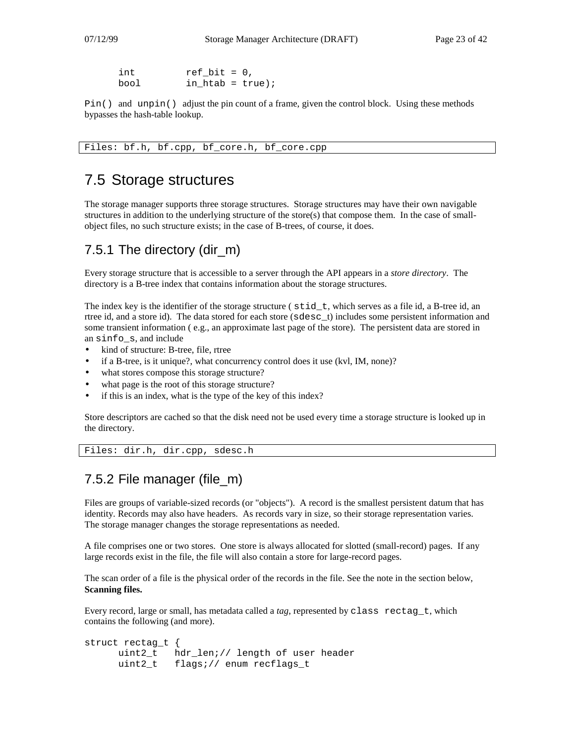| int  | $ref bit = 0$ ,     |  |
|------|---------------------|--|
| bool | in_htab = $true$ ); |  |

Pin() and unpin() adjust the pin count of a frame, given the control block. Using these methods bypasses the hash-table lookup.

Files: bf.h, bf.cpp, bf\_core.h, bf\_core.cpp

## 7.5 Storage structures

The storage manager supports three storage structures. Storage structures may have their own navigable structures in addition to the underlying structure of the store(s) that compose them. In the case of smallobject files, no such structure exists; in the case of B-trees, of course, it does.

### 7.5.1 The directory (dir\_m)

Every storage structure that is accessible to a server through the API appears in a *store directory*. The directory is a B-tree index that contains information about the storage structures.

The index key is the identifier of the storage structure (stid\_t, which serves as a file id, a B-tree id, an rtree id, and a store id). The data stored for each store (sdesc\_t) includes some persistent information and some transient information ( e.g., an approximate last page of the store). The persistent data are stored in an sinfo\_s, and include

- kind of structure: B-tree, file, rtree
- if a B-tree, is it unique?, what concurrency control does it use (kvl, IM, none)?
- what stores compose this storage structure?
- what page is the root of this storage structure?
- if this is an index, what is the type of the key of this index?

Store descriptors are cached so that the disk need not be used every time a storage structure is looked up in the directory.

```
Files: dir.h, dir.cpp, sdesc.h
```
### 7.5.2 File manager (file\_m)

Files are groups of variable-sized records (or "objects"). A record is the smallest persistent datum that has identity. Records may also have headers. As records vary in size, so their storage representation varies. The storage manager changes the storage representations as needed.

A file comprises one or two stores. One store is always allocated for slotted (small-record) pages. If any large records exist in the file, the file will also contain a store for large-record pages.

The scan order of a file is the physical order of the records in the file. See the note in the section below, **Scanning files.**

Every record, large or small, has metadata called a *tag*, represented by class rectag\_t, which contains the following (and more).

```
struct rectag_t {
     uint2_t hdr_len;// length of user header
     uint2_t flags;// enum recflags_t
```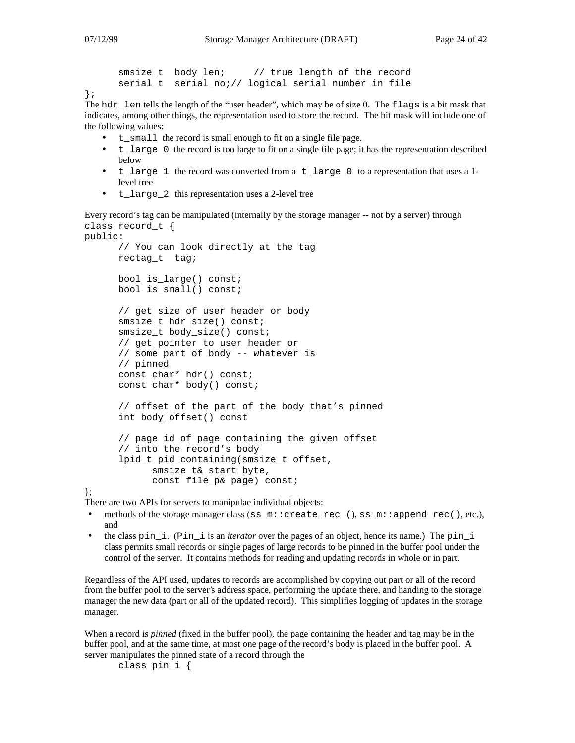```
smsize_t body_len; // true length of the record
serial_t serial_no;// logical serial number in file
```
};

The hdr\_len tells the length of the "user header", which may be of size 0. The flags is a bit mask that indicates, among other things, the representation used to store the record. The bit mask will include one of the following values:

- t\_small the record is small enough to fit on a single file page.
- t\_large\_0 the record is too large to fit on a single file page; it has the representation described below
- t\_large\_1 the record was converted from a t\_large\_0 to a representation that uses a 1level tree
- t\_large\_2 this representation uses a 2-level tree

Every record's tag can be manipulated (internally by the storage manager -- not by a server) through class record\_t {

```
public:
      // You can look directly at the tag
     rectag_t tag;
     bool is_large() const;
     bool is_small() const;
     // get size of user header or body
     smsize t hdr size() const;
      smsize t body size() const;
      // get pointer to user header or
     // some part of body -- whatever is
     // pinned
     const char* hdr() const;
     const char* body() const;
      // offset of the part of the body that's pinned
     int body_offset() const
      // page id of page containing the given offset
      // into the record's body
      lpid_t pid_containing(smsize_t offset,
            smsize_t& start_byte,
            const file_p& page) const;
```
};

There are two APIs for servers to manipulae individual objects:

- methods of the storage manager class (ss\_m::create\_rec (), ss\_m::append\_rec(), etc.), and
- the class pin\_i. (Pin\_i is an *iterator* over the pages of an object, hence its name.) The pin\_i class permits small records or single pages of large records to be pinned in the buffer pool under the control of the server. It contains methods for reading and updating records in whole or in part.

Regardless of the API used, updates to records are accomplished by copying out part or all of the record from the buffer pool to the server's address space, performing the update there, and handing to the storage manager the new data (part or all of the updated record). This simplifies logging of updates in the storage manager.

When a record is *pinned* (fixed in the buffer pool), the page containing the header and tag may be in the buffer pool, and at the same time, at most one page of the record's body is placed in the buffer pool. A server manipulates the pinned state of a record through the

class pin\_i {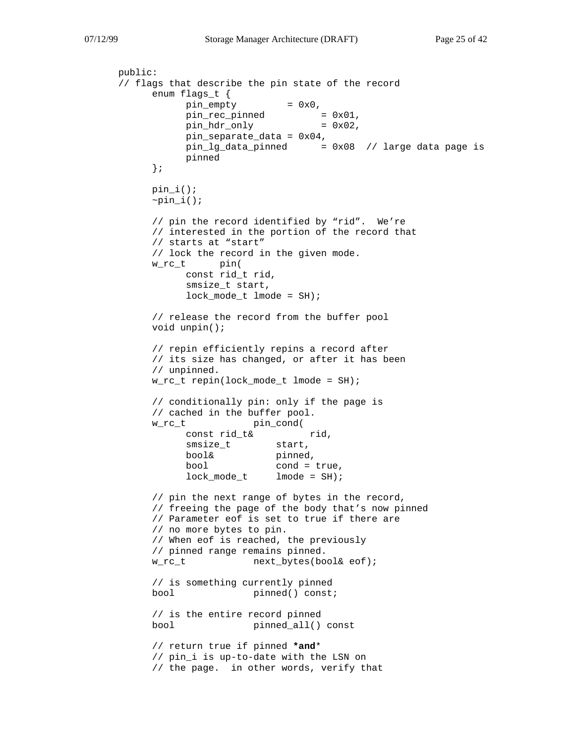```
public:
// flags that describe the pin state of the record
     enum flags_t {
           pin\_empty = 0x0,
           pin\_rec\_pinned = 0x01,
           pin\_hdr\_only = 0x02,
           pin_separate_data = 0x04,
           pin\_lg\_data\_pinned = 0x08 // large data page is
           pinned
     };
     pin_i();
     \negpin_i();
     // pin the record identified by "rid". We're
     // interested in the portion of the record that
     // starts at "start"
     // lock the record in the given mode.
     w_rc_t pin(
           const rid_t rid,
           smsize t start,
           lock_model_t lmode = SH);
     // release the record from the buffer pool
     void unpin();
     // repin efficiently repins a record after
     // its size has changed, or after it has been
     // unpinned.
     w_rc_t repin(lock_mode_t lmode = SH);
     // conditionally pin: only if the page is
     // cached in the buffer pool.
     w_rc_t pin_cond(
           const rid_t& rid,
           smsize_t start,
           bool& pinned,
           bool cond = true,
           lock mode t lmode = SH);
     // pin the next range of bytes in the record,
     // freeing the page of the body that's now pinned
     // Parameter eof is set to true if there are
     // no more bytes to pin.
     // When eof is reached, the previously
     // pinned range remains pinned.
     w_rc_t next_bytes(bool& eof);
     // is something currently pinned
     bool pinned() const;
     // is the entire record pinned
     bool pinned_all() const
     // return true if pinned *and*
     // pin_i is up-to-date with the LSN on
     // the page. in other words, verify that
```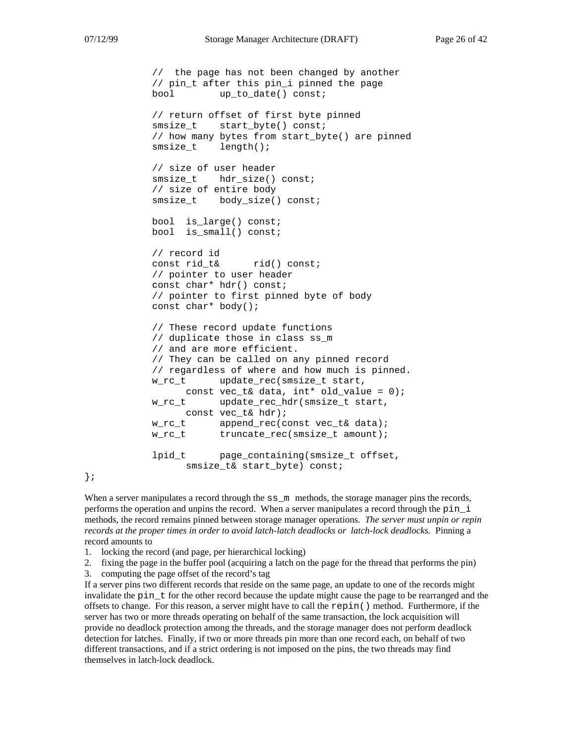// the page has not been changed by another // pin\_t after this pin\_i pinned the page bool up\_to\_date() const; // return offset of first byte pinned smsize t start byte() const; // how many bytes from start\_byte() are pinned smsize\_t length(); // size of user header smsize\_t hdr\_size() const; // size of entire body smsize\_t body\_size() const; bool is\_large() const; bool is\_small() const; // record id const rid\_t& rid() const; // pointer to user header const char\* hdr() const; // pointer to first pinned byte of body const char\* body(); // These record update functions // duplicate those in class ss\_m // and are more efficient. // They can be called on any pinned record // regardless of where and how much is pinned. w\_rc\_t update\_rec(smsize\_t start, const vec\_t& data,  $int*$  old\_value = 0); w\_rc\_t update\_rec\_hdr(smsize\_t start, const vec\_t& hdr); w\_rc\_t append\_rec(const vec\_t& data); w\_rc\_t truncate\_rec(smsize\_t amount); lpid t page containing(smsize t offset, smsize t& start byte) const;

};

When a server manipulates a record through the  $ss$  m methods, the storage manager pins the records, performs the operation and unpins the record. When a server manipulates a record through the pin\_i methods, the record remains pinned between storage manager operations. *The server must unpin or repin records at the proper times in order to avoid latch-latch deadlocks or latch-lock deadlocks.* Pinning a record amounts to

1. locking the record (and page, per hierarchical locking)

2. fixing the page in the buffer pool (acquiring a latch on the page for the thread that performs the pin)

3. computing the page offset of the record's tag

If a server pins two different records that reside on the same page, an update to one of the records might invalidate the pin\_t for the other record because the update might cause the page to be rearranged and the offsets to change. For this reason, a server might have to call the repin() method. Furthermore, if the server has two or more threads operating on behalf of the same transaction, the lock acquisition will provide no deadlock protection among the threads, and the storage manager does not perform deadlock detection for latches. Finally, if two or more threads pin more than one record each, on behalf of two different transactions, and if a strict ordering is not imposed on the pins, the two threads may find themselves in latch-lock deadlock.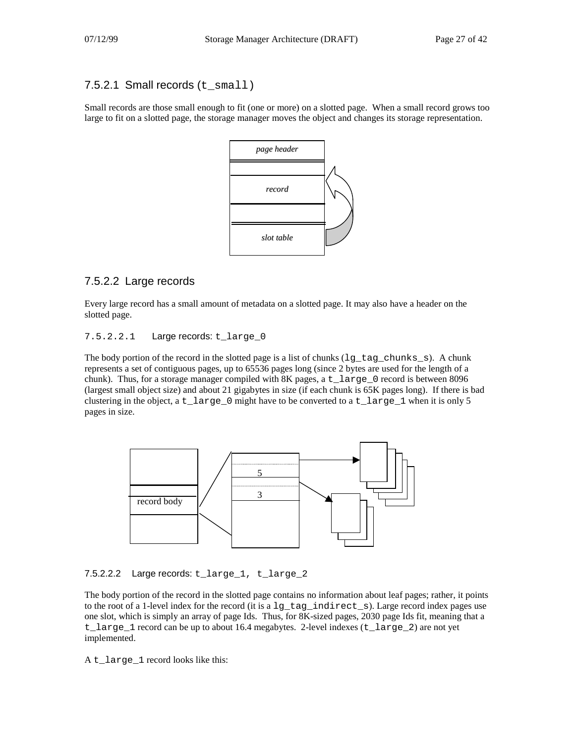#### 7.5.2.1 Small records (t\_small)

Small records are those small enough to fit (one or more) on a slotted page. When a small record grows too large to fit on a slotted page, the storage manager moves the object and changes its storage representation.



### 7.5.2.2 Large records

Every large record has a small amount of metadata on a slotted page. It may also have a header on the slotted page.

#### 7.5.2.2.1 Large records: t\_large\_0

The body portion of the record in the slotted page is a list of chunks (1g\_tag\_chunks\_s). A chunk represents a set of contiguous pages, up to 65536 pages long (since 2 bytes are used for the length of a chunk). Thus, for a storage manager compiled with 8K pages, a  $t$  arge 0 record is between 8096 (largest small object size) and about 21 gigabytes in size (if each chunk is 65K pages long). If there is bad clustering in the object, a  $t$ \_large\_0 might have to be converted to a  $t$ \_large\_1 when it is only 5 pages in size.



7.5.2.2.2 Large records: t\_large\_1, t\_large\_2

The body portion of the record in the slotted page contains no information about leaf pages; rather, it points to the root of a 1-level index for the record (it is a lg\_tag\_indirect\_s). Large record index pages use one slot, which is simply an array of page Ids. Thus, for 8K-sized pages, 2030 page Ids fit, meaning that a t\_large\_1 record can be up to about 16.4 megabytes. 2-level indexes (t\_large\_2) are not yet implemented.

A t\_large\_1 record looks like this: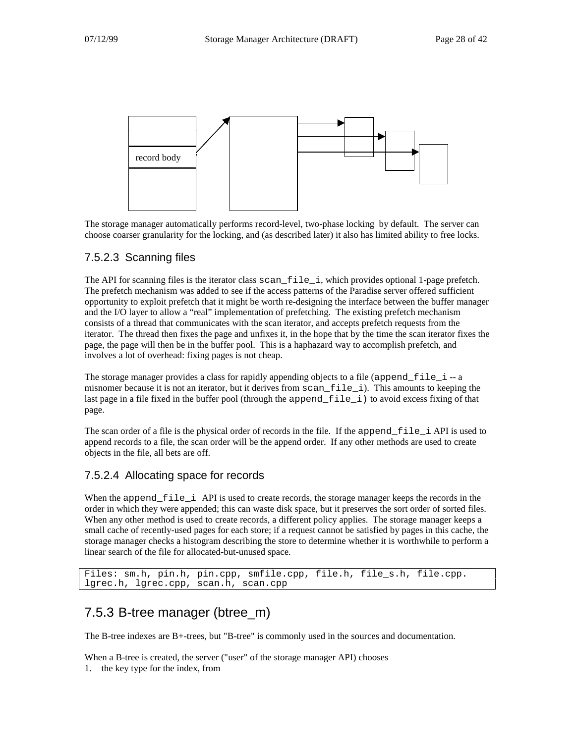

The storage manager automatically performs record-level, two-phase locking by default. The server can choose coarser granularity for the locking, and (as described later) it also has limited ability to free locks.

### 7.5.2.3 Scanning files

The API for scanning files is the iterator class scan  $file$  i, which provides optional 1-page prefetch. The prefetch mechanism was added to see if the access patterns of the Paradise server offered sufficient opportunity to exploit prefetch that it might be worth re-designing the interface between the buffer manager and the I/O layer to allow a "real" implementation of prefetching. The existing prefetch mechanism consists of a thread that communicates with the scan iterator, and accepts prefetch requests from the iterator. The thread then fixes the page and unfixes it, in the hope that by the time the scan iterator fixes the page, the page will then be in the buffer pool. This is a haphazard way to accomplish prefetch, and involves a lot of overhead: fixing pages is not cheap.

The storage manager provides a class for rapidly appending objects to a file (append\_file i -- a misnomer because it is not an iterator, but it derives from  $scan_file_i)$ . This amounts to keeping the last page in a file fixed in the buffer pool (through the append  $file$  i) to avoid excess fixing of that page.

The scan order of a file is the physical order of records in the file. If the append file i API is used to append records to a file, the scan order will be the append order. If any other methods are used to create objects in the file, all bets are off.

### 7.5.2.4 Allocating space for records

When the append file i API is used to create records, the storage manager keeps the records in the order in which they were appended; this can waste disk space, but it preserves the sort order of sorted files. When any other method is used to create records, a different policy applies. The storage manager keeps a small cache of recently-used pages for each store; if a request cannot be satisfied by pages in this cache, the storage manager checks a histogram describing the store to determine whether it is worthwhile to perform a linear search of the file for allocated-but-unused space.

```
Files: sm.h, pin.h, pin.cpp, smfile.cpp, file.h, file s.h, file.cpp.
lgrec.h, lgrec.cpp, scan.h, scan.cpp
```
### 7.5.3 B-tree manager (btree\_m)

The B-tree indexes are B+-trees, but "B-tree" is commonly used in the sources and documentation.

When a B-tree is created, the server ("user" of the storage manager API) chooses 1. the key type for the index, from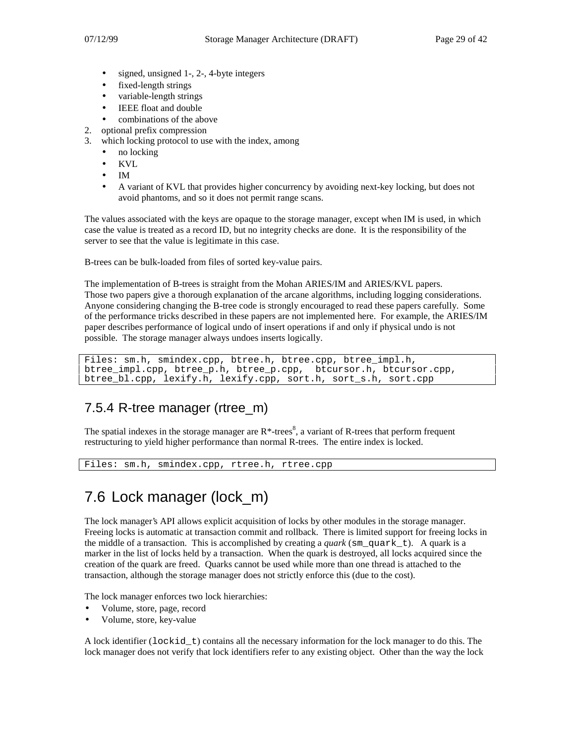- signed, unsigned 1-, 2-, 4-byte integers
- fixed-length strings
- variable-length strings
- IEEE float and double
- combinations of the above
- 2. optional prefix compression
- 3. which locking protocol to use with the index, among
	- no locking
	- KVL
	- IM
	- A variant of KVL that provides higher concurrency by avoiding next-key locking, but does not avoid phantoms, and so it does not permit range scans.

The values associated with the keys are opaque to the storage manager, except when IM is used, in which case the value is treated as a record ID, but no integrity checks are done. It is the responsibility of the server to see that the value is legitimate in this case.

B-trees can be bulk-loaded from files of sorted key-value pairs.

The implementation of B-trees is straight from the Mohan ARIES/IM and ARIES/KVL papers. Those two papers give a thorough explanation of the arcane algorithms, including logging considerations. Anyone considering changing the B-tree code is strongly encouraged to read these papers carefully. Some of the performance tricks described in these papers are not implemented here. For example, the ARIES/IM paper describes performance of logical undo of insert operations if and only if physical undo is not possible. The storage manager always undoes inserts logically.

Files: sm.h, smindex.cpp, btree.h, btree.cpp, btree\_impl.h, btree\_impl.cpp, btree\_p.h, btree\_p.cpp, btcursor.h, btcursor.cpp, btree\_bl.cpp, lexify.h, lexify.cpp, sort.h, sort\_s.h, sort.cpp

### 7.5.4 R-tree manager (rtree\_m)

The spatial indexes in the storage manager are  $R^*$ -trees<sup>8</sup>, a variant of R-trees that perform frequent restructuring to yield higher performance than normal R-trees. The entire index is locked.

Files: sm.h, smindex.cpp, rtree.h, rtree.cpp

# 7.6 Lock manager (lock\_m)

The lock manager's API allows explicit acquisition of locks by other modules in the storage manager. Freeing locks is automatic at transaction commit and rollback. There is limited support for freeing locks in the middle of a transaction. This is accomplished by creating a *quark* (sm\_quark t). A quark is a marker in the list of locks held by a transaction. When the quark is destroyed, all locks acquired since the creation of the quark are freed. Quarks cannot be used while more than one thread is attached to the transaction, although the storage manager does not strictly enforce this (due to the cost).

The lock manager enforces two lock hierarchies:

- Volume, store, page, record
- Volume, store, key-value

A lock identifier (lockid t) contains all the necessary information for the lock manager to do this. The lock manager does not verify that lock identifiers refer to any existing object. Other than the way the lock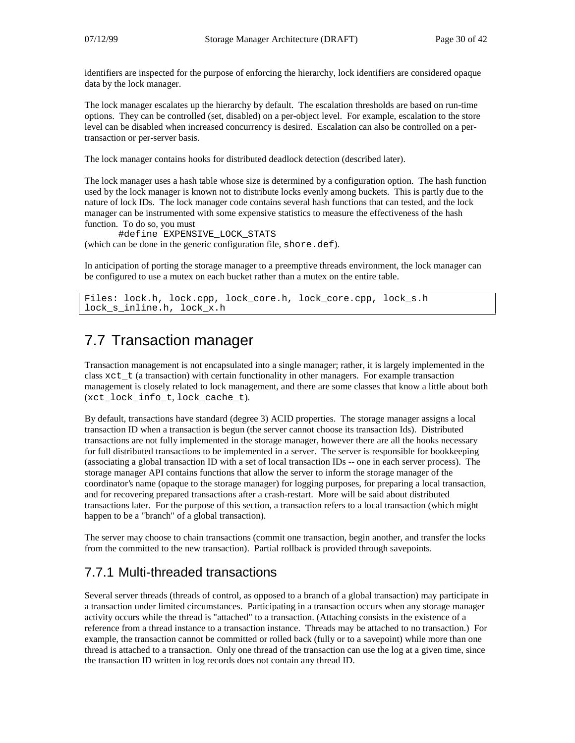identifiers are inspected for the purpose of enforcing the hierarchy, lock identifiers are considered opaque data by the lock manager.

The lock manager escalates up the hierarchy by default. The escalation thresholds are based on run-time options. They can be controlled (set, disabled) on a per-object level. For example, escalation to the store level can be disabled when increased concurrency is desired. Escalation can also be controlled on a pertransaction or per-server basis.

The lock manager contains hooks for distributed deadlock detection (described later).

The lock manager uses a hash table whose size is determined by a configuration option. The hash function used by the lock manager is known not to distribute locks evenly among buckets. This is partly due to the nature of lock IDs. The lock manager code contains several hash functions that can tested, and the lock manager can be instrumented with some expensive statistics to measure the effectiveness of the hash function. To do so, you must

#define EXPENSIVE\_LOCK\_STATS (which can be done in the generic configuration file, shore.def).

In anticipation of porting the storage manager to a preemptive threads environment, the lock manager can be configured to use a mutex on each bucket rather than a mutex on the entire table.

```
Files: lock.h, lock.cpp, lock_core.h, lock_core.cpp, lock_s.h
lock_s_inline.h, lock_x.h
```
# 7.7 Transaction manager

Transaction management is not encapsulated into a single manager; rather, it is largely implemented in the class xct\_t (a transaction) with certain functionality in other managers. For example transaction management is closely related to lock management, and there are some classes that know a little about both (xct\_lock\_info\_t, lock\_cache\_t).

By default, transactions have standard (degree 3) ACID properties. The storage manager assigns a local transaction ID when a transaction is begun (the server cannot choose its transaction Ids). Distributed transactions are not fully implemented in the storage manager, however there are all the hooks necessary for full distributed transactions to be implemented in a server. The server is responsible for bookkeeping (associating a global transaction ID with a set of local transaction IDs -- one in each server process). The storage manager API contains functions that allow the server to inform the storage manager of the coordinator's name (opaque to the storage manager) for logging purposes, for preparing a local transaction, and for recovering prepared transactions after a crash-restart. More will be said about distributed transactions later. For the purpose of this section, a transaction refers to a local transaction (which might happen to be a "branch" of a global transaction).

The server may choose to chain transactions (commit one transaction, begin another, and transfer the locks from the committed to the new transaction). Partial rollback is provided through savepoints.

### 7.7.1 Multi-threaded transactions

Several server threads (threads of control, as opposed to a branch of a global transaction) may participate in a transaction under limited circumstances. Participating in a transaction occurs when any storage manager activity occurs while the thread is "attached" to a transaction. (Attaching consists in the existence of a reference from a thread instance to a transaction instance. Threads may be attached to no transaction.) For example, the transaction cannot be committed or rolled back (fully or to a savepoint) while more than one thread is attached to a transaction. Only one thread of the transaction can use the log at a given time, since the transaction ID written in log records does not contain any thread ID.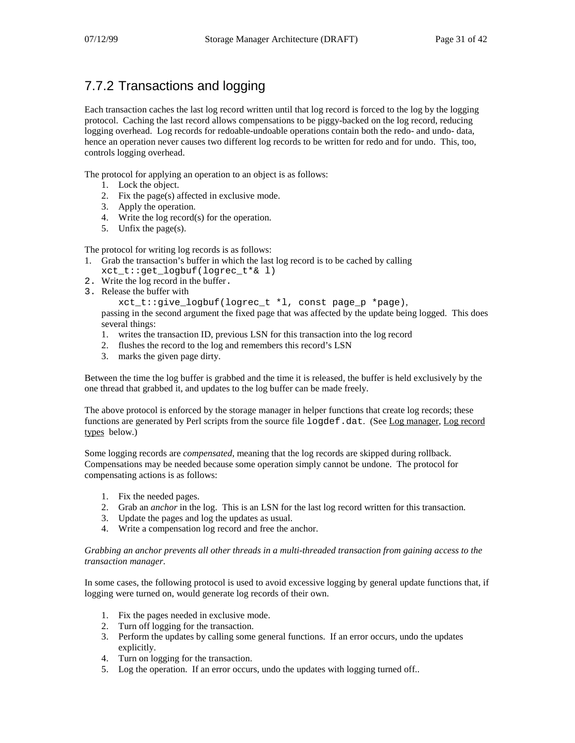# 7.7.2 Transactions and logging

Each transaction caches the last log record written until that log record is forced to the log by the logging protocol. Caching the last record allows compensations to be piggy-backed on the log record, reducing logging overhead. Log records for redoable-undoable operations contain both the redo- and undo- data, hence an operation never causes two different log records to be written for redo and for undo. This, too, controls logging overhead.

The protocol for applying an operation to an object is as follows:

- 1. Lock the object.
- 2. Fix the page(s) affected in exclusive mode.
- 3. Apply the operation.
- 4. Write the log record(s) for the operation.
- 5. Unfix the page(s).

The protocol for writing log records is as follows:

- 1. Grab the transaction's buffer in which the last log record is to be cached by calling xct\_t::get\_logbuf(logrec\_t\*& l)
- 2. Write the log record in the buffer.
- 3. Release the buffer with

xct\_t::give\_logbuf(logrec\_t \*l, const page\_p \*page),

passing in the second argument the fixed page that was affected by the update being logged. This does several things:

- 1. writes the transaction ID, previous LSN for this transaction into the log record
- 2. flushes the record to the log and remembers this record's LSN
- 3. marks the given page dirty.

Between the time the log buffer is grabbed and the time it is released, the buffer is held exclusively by the one thread that grabbed it, and updates to the log buffer can be made freely.

The above protocol is enforced by the storage manager in helper functions that create log records; these functions are generated by Perl scripts from the source file  $log\det A$ . (See Log manager, Log record types below.)

Some logging records are *compensated*, meaning that the log records are skipped during rollback. Compensations may be needed because some operation simply cannot be undone. The protocol for compensating actions is as follows:

- 1. Fix the needed pages.
- 2. Grab an *anchor* in the log. This is an LSN for the last log record written for this transaction.
- 3. Update the pages and log the updates as usual.
- 4. Write a compensation log record and free the anchor.

#### *Grabbing an anchor prevents all other threads in a multi-threaded transaction from gaining access to the transaction manager*.

In some cases, the following protocol is used to avoid excessive logging by general update functions that, if logging were turned on, would generate log records of their own.

- 1. Fix the pages needed in exclusive mode.
- 2. Turn off logging for the transaction.
- 3. Perform the updates by calling some general functions. If an error occurs, undo the updates explicitly.
- 4. Turn on logging for the transaction.
- 5. Log the operation. If an error occurs, undo the updates with logging turned off..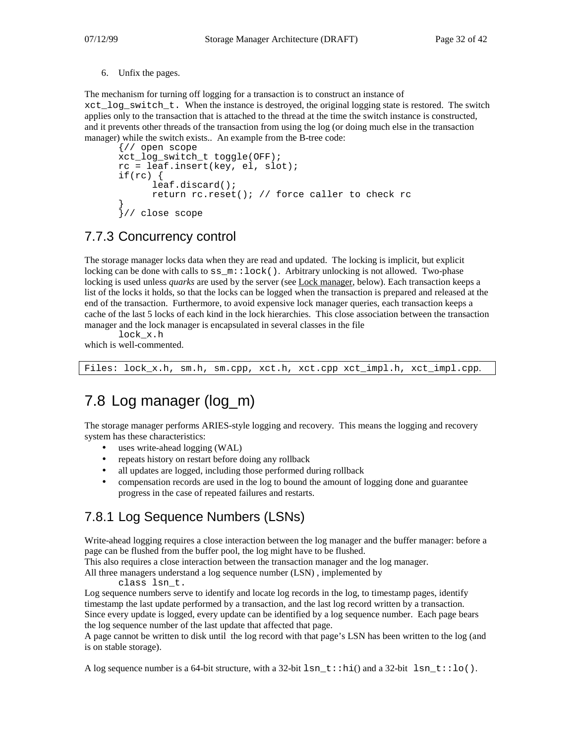6. Unfix the pages.

The mechanism for turning off logging for a transaction is to construct an instance of  $xct$  log switch  $t$ . When the instance is destroyed, the original logging state is restored. The switch applies only to the transaction that is attached to the thread at the time the switch instance is constructed, and it prevents other threads of the transaction from using the log (or doing much else in the transaction manager) while the switch exists.. An example from the B-tree code:

```
{// open scope
xct_log_switch_t toggle(OFF);
rc = leaf.insert(key, el, slot);
if(rc) {
      leaf.discard();
      return rc.reset(); // force caller to check rc
}
}// close scope
```
## 7.7.3 Concurrency control

The storage manager locks data when they are read and updated. The locking is implicit, but explicit locking can be done with calls to  $ss_m::lock($ ). Arbitrary unlocking is not allowed. Two-phase locking is used unless *quarks* are used by the server (see Lock manager, below). Each transaction keeps a list of the locks it holds, so that the locks can be logged when the transaction is prepared and released at the end of the transaction. Furthermore, to avoid expensive lock manager queries, each transaction keeps a cache of the last 5 locks of each kind in the lock hierarchies. This close association between the transaction manager and the lock manager is encapsulated in several classes in the file

lock\_x.h

which is well-commented.

Files: lock\_x.h, sm.h, sm.cpp, xct.h, xct.cpp xct\_impl.h, xct\_impl.cpp.

# 7.8 Log manager (log\_m)

The storage manager performs ARIES-style logging and recovery. This means the logging and recovery system has these characteristics:

- uses write-ahead logging (WAL)
- repeats history on restart before doing any rollback
- all updates are logged, including those performed during rollback
- compensation records are used in the log to bound the amount of logging done and guarantee progress in the case of repeated failures and restarts.

## 7.8.1 Log Sequence Numbers (LSNs)

Write-ahead logging requires a close interaction between the log manager and the buffer manager: before a page can be flushed from the buffer pool, the log might have to be flushed.

This also requires a close interaction between the transaction manager and the log manager.

All three managers understand a log sequence number (LSN) , implemented by

class lsn\_t.

Log sequence numbers serve to identify and locate log records in the log, to timestamp pages, identify timestamp the last update performed by a transaction, and the last log record written by a transaction. Since every update is logged, every update can be identified by a log sequence number. Each page bears the log sequence number of the last update that affected that page.

A page cannot be written to disk until the log record with that page's LSN has been written to the log (and is on stable storage).

A log sequence number is a 64-bit structure, with a 32-bit lsn  $t:ihi()$  and a 32-bit lsn  $t:lo()$ .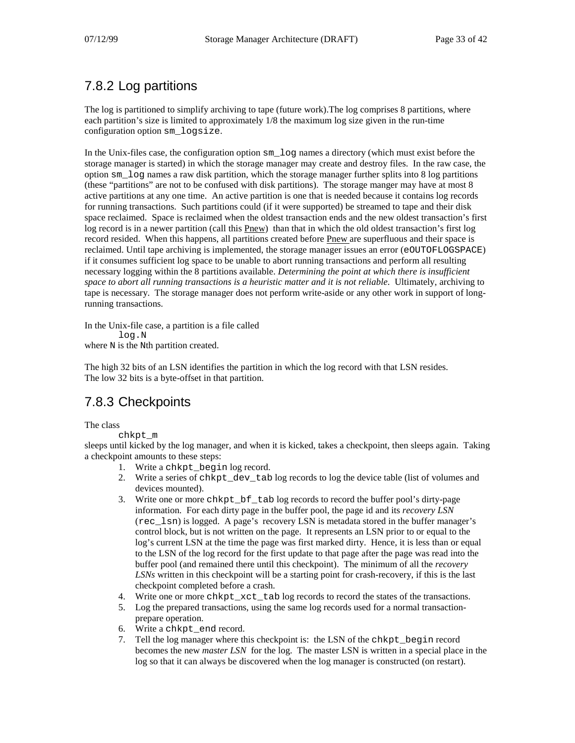# 7.8.2 Log partitions

The log is partitioned to simplify archiving to tape (future work).The log comprises 8 partitions, where each partition's size is limited to approximately 1/8 the maximum log size given in the run-time configuration option sm\_logsize.

In the Unix-files case, the configuration option sm\_log names a directory (which must exist before the storage manager is started) in which the storage manager may create and destroy files. In the raw case, the option sm\_log names a raw disk partition, which the storage manager further splits into 8 log partitions (these "partitions" are not to be confused with disk partitions). The storage manger may have at most 8 active partitions at any one time. An active partition is one that is needed because it contains log records for running transactions. Such partitions could (if it were supported) be streamed to tape and their disk space reclaimed. Space is reclaimed when the oldest transaction ends and the new oldest transaction's first log record is in a newer partition (call this Pnew) than that in which the old oldest transaction's first log record resided. When this happens, all partitions created before Pnew are superfluous and their space is reclaimed. Until tape archiving is implemented, the storage manager issues an error (eOUTOFLOGSPACE) if it consumes sufficient log space to be unable to abort running transactions and perform all resulting necessary logging within the 8 partitions available. *Determining the point at which there is insufficient space to abort all running transactions is a heuristic matter and it is not reliable*. Ultimately, archiving to tape is necessary. The storage manager does not perform write-aside or any other work in support of longrunning transactions.

In the Unix-file case, a partition is a file called log.N where N is the Nth partition created.

The high 32 bits of an LSN identifies the partition in which the log record with that LSN resides. The low 32 bits is a byte-offset in that partition.

## 7.8.3 Checkpoints

The class

chkpt\_m

sleeps until kicked by the log manager, and when it is kicked, takes a checkpoint, then sleeps again. Taking a checkpoint amounts to these steps:

- 1. Write a chkpt\_begin log record.
- 2. Write a series of chkpt\_dev\_tab log records to log the device table (list of volumes and devices mounted).
- 3. Write one or more chkpt\_bf\_tab log records to record the buffer pool's dirty-page information. For each dirty page in the buffer pool, the page id and its *recovery LSN* (rec\_lsn) is logged. A page's recovery LSN is metadata stored in the buffer manager's control block, but is not written on the page. It represents an LSN prior to or equal to the log's current LSN at the time the page was first marked dirty. Hence, it is less than or equal to the LSN of the log record for the first update to that page after the page was read into the buffer pool (and remained there until this checkpoint). The minimum of all the *recovery LSNs* written in this checkpoint will be a starting point for crash-recovery, if this is the last checkpoint completed before a crash.
- 4. Write one or more chkpt\_xct\_tab log records to record the states of the transactions.
- 5. Log the prepared transactions, using the same log records used for a normal transactionprepare operation.
- 6. Write a chkpt\_end record.
- 7. Tell the log manager where this checkpoint is: the LSN of the chkpt\_begin record becomes the new *master LSN* for the log. The master LSN is written in a special place in the log so that it can always be discovered when the log manager is constructed (on restart).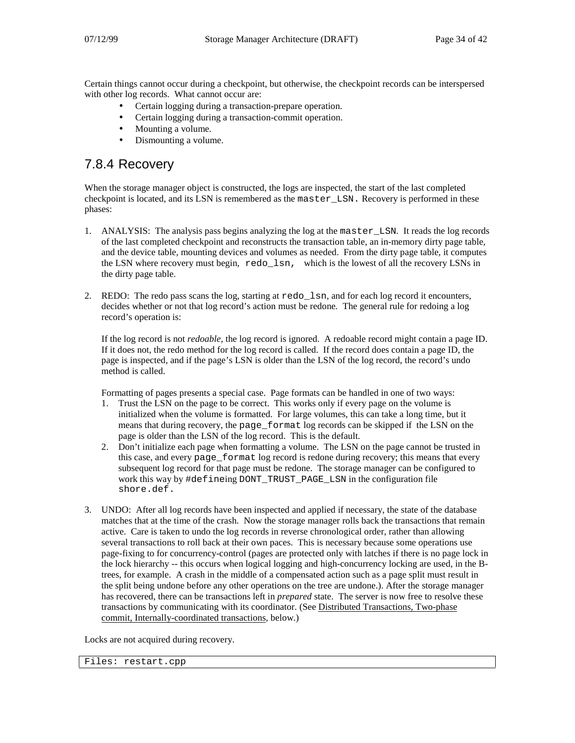Certain things cannot occur during a checkpoint, but otherwise, the checkpoint records can be interspersed with other log records. What cannot occur are:

- Certain logging during a transaction-prepare operation.
- Certain logging during a transaction-commit operation.
- Mounting a volume.
- Dismounting a volume.

### 7.8.4 Recovery

When the storage manager object is constructed, the logs are inspected, the start of the last completed checkpoint is located, and its LSN is remembered as the master\_LSN. Recovery is performed in these phases:

- 1. ANALYSIS: The analysis pass begins analyzing the log at the master\_LSN. It reads the log records of the last completed checkpoint and reconstructs the transaction table, an in-memory dirty page table, and the device table, mounting devices and volumes as needed. From the dirty page table, it computes the LSN where recovery must begin, redo\_lsn, which is the lowest of all the recovery LSNs in the dirty page table.
- 2. REDO: The redo pass scans the log, starting at redo\_lsn, and for each log record it encounters, decides whether or not that log record's action must be redone*.* The general rule for redoing a log record's operation is:

If the log record is not *redoable,* the log record is ignored. A redoable record might contain a page ID. If it does not, the redo method for the log record is called. If the record does contain a page ID, the page is inspected, and if the page's LSN is older than the LSN of the log record, the record's undo method is called.

Formatting of pages presents a special case. Page formats can be handled in one of two ways:

- 1. Trust the LSN on the page to be correct. This works only if every page on the volume is initialized when the volume is formatted. For large volumes, this can take a long time, but it means that during recovery, the page\_format log records can be skipped if the LSN on the page is older than the LSN of the log record. This is the default.
- 2. Don't initialize each page when formatting a volume. The LSN on the page cannot be trusted in this case, and every page\_format log record is redone during recovery; this means that every subsequent log record for that page must be redone. The storage manager can be configured to work this way by #defineing DONT\_TRUST\_PAGE\_LSN in the configuration file shore.def.
- 3. UNDO: After all log records have been inspected and applied if necessary, the state of the database matches that at the time of the crash. Now the storage manager rolls back the transactions that remain active. Care is taken to undo the log records in reverse chronological order, rather than allowing several transactions to roll back at their own paces. This is necessary because some operations use page-fixing to for concurrency-control (pages are protected only with latches if there is no page lock in the lock hierarchy -- this occurs when logical logging and high-concurrency locking are used, in the Btrees, for example. A crash in the middle of a compensated action such as a page split must result in the split being undone before any other operations on the tree are undone.). After the storage manager has recovered, there can be transactions left in *prepared* state. The server is now free to resolve these transactions by communicating with its coordinator. (See Distributed Transactions, Two-phase commit, Internally-coordinated transactions, below.)

Locks are not acquired during recovery.

Files: restart.cpp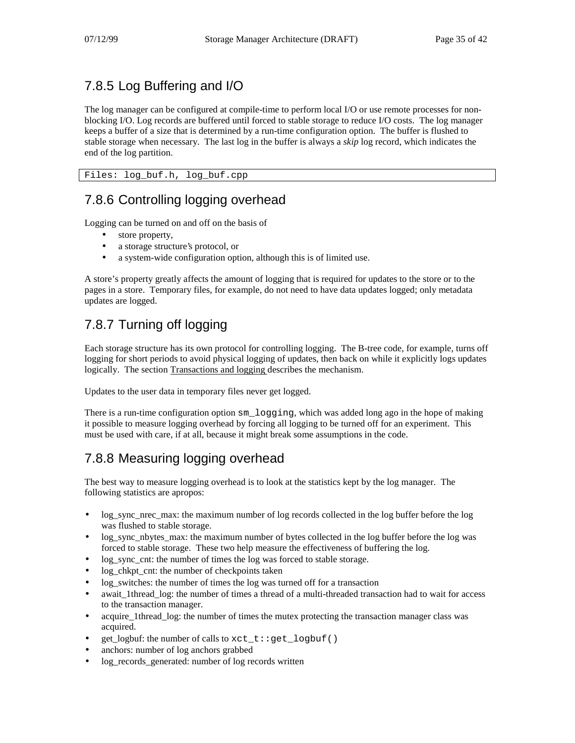## 7.8.5 Log Buffering and I/O

The log manager can be configured at compile-time to perform local I/O or use remote processes for nonblocking I/O. Log records are buffered until forced to stable storage to reduce I/O costs. The log manager keeps a buffer of a size that is determined by a run-time configuration option. The buffer is flushed to stable storage when necessary. The last log in the buffer is always a *skip* log record, which indicates the end of the log partition.

Files: log\_buf.h, log\_buf.cpp

### 7.8.6 Controlling logging overhead

Logging can be turned on and off on the basis of

- store property,
- a storage structure's protocol, or
- a system-wide configuration option, although this is of limited use.

A store's property greatly affects the amount of logging that is required for updates to the store or to the pages in a store. Temporary files, for example, do not need to have data updates logged; only metadata updates are logged.

## 7.8.7 Turning off logging

Each storage structure has its own protocol for controlling logging. The B-tree code, for example, turns off logging for short periods to avoid physical logging of updates, then back on while it explicitly logs updates logically. The section Transactions and logging describes the mechanism.

Updates to the user data in temporary files never get logged.

There is a run-time configuration option sm\_logging, which was added long ago in the hope of making it possible to measure logging overhead by forcing all logging to be turned off for an experiment. This must be used with care, if at all, because it might break some assumptions in the code.

# 7.8.8 Measuring logging overhead

The best way to measure logging overhead is to look at the statistics kept by the log manager. The following statistics are apropos:

- log sync nrec max: the maximum number of log records collected in the log buffer before the log was flushed to stable storage.
- log sync nbytes max: the maximum number of bytes collected in the log buffer before the log was forced to stable storage. These two help measure the effectiveness of buffering the log.
- log\_sync\_cnt: the number of times the log was forced to stable storage.
- log\_chkpt\_cnt: the number of checkpoints taken
- log\_switches: the number of times the log was turned off for a transaction
- await\_1thread\_log: the number of times a thread of a multi-threaded transaction had to wait for access to the transaction manager.
- acquire 1thread log: the number of times the mutex protecting the transaction manager class was acquired.
- get\_logbuf: the number of calls to xct\_t::get\_logbuf()
- anchors: number of log anchors grabbed
- log\_records\_generated: number of log records written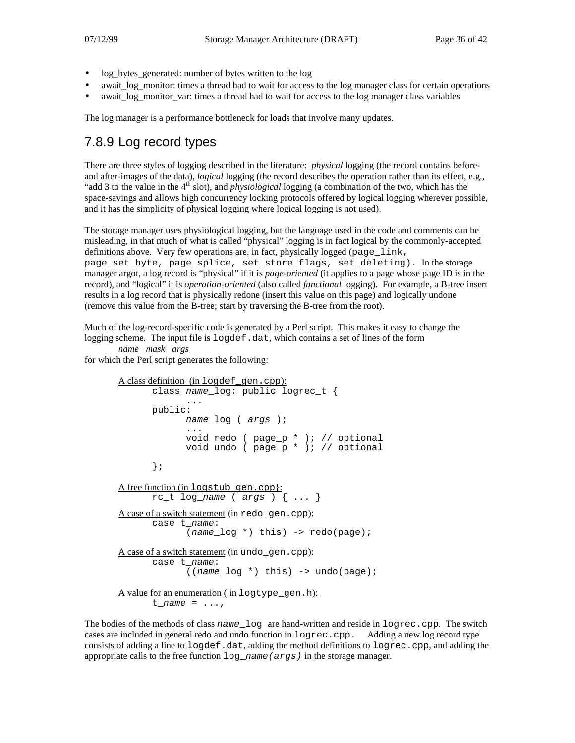- log bytes generated: number of bytes written to the log
- await log monitor: times a thread had to wait for access to the log manager class for certain operations
- await log monitor var: times a thread had to wait for access to the log manager class variables

The log manager is a performance bottleneck for loads that involve many updates.

### 7.8.9 Log record types

There are three styles of logging described in the literature: *physical* logging (the record contains beforeand after-images of the data), *logical* logging (the record describes the operation rather than its effect, e.g., "add 3 to the value in the 4<sup>th</sup> slot), and *physiological* logging (a combination of the two, which has the space-savings and allows high concurrency locking protocols offered by logical logging wherever possible, and it has the simplicity of physical logging where logical logging is not used).

The storage manager uses physiological logging, but the language used in the code and comments can be misleading, in that much of what is called "physical" logging is in fact logical by the commonly-accepted definitions above. Very few operations are, in fact, physically logged (page\_link, page\_set\_byte, page\_splice, set\_store\_flags, set\_deleting). In the storage manager argot, a log record is "physical" if it is *page-oriented* (it applies to a page whose page ID is in the record), and "logical" it is *operation-oriented* (also called *functional* logging). For example, a B-tree insert results in a log record that is physically redone (insert this value on this page) and logically undone (remove this value from the B-tree; start by traversing the B-tree from the root).

Much of the log-record-specific code is generated by a Perl script. This makes it easy to change the logging scheme. The input file is logdef.dat, which contains a set of lines of the form

```
name mask args
```
for which the Perl script generates the following:

```
A class definition (in logdef gen.cpp):
      class name log: public logrec t {
              ...
      public:
             name_log ( args );
              ...
             void redo ( page_p * ); // optional
             void undo ( page_p * ); // optional};
A free function (in logstub gen.cpp):
      rc t log name ( args ) \{ \ldots \}A case of a switch statement (in redo_gen.cpp):
      case t_name:
              (name log *) this) -> redo(page);
A case of a switch statement (in undo_gen.cpp):
      case t_name:
             ((name_log *) this) -> undo(page);
A value for an enumeration (in logtype_gen.h):
      t_name = \ldots,
```
The bodies of the methods of class name  $log$  are hand-written and reside in  $logrec$ .cpp. The switch cases are included in general redo and undo function in logrec.cpp. Adding a new log record type consists of adding a line to logdef.dat, adding the method definitions to logrec.cpp, and adding the appropriate calls to the free function  $log$  name (args) in the storage manager.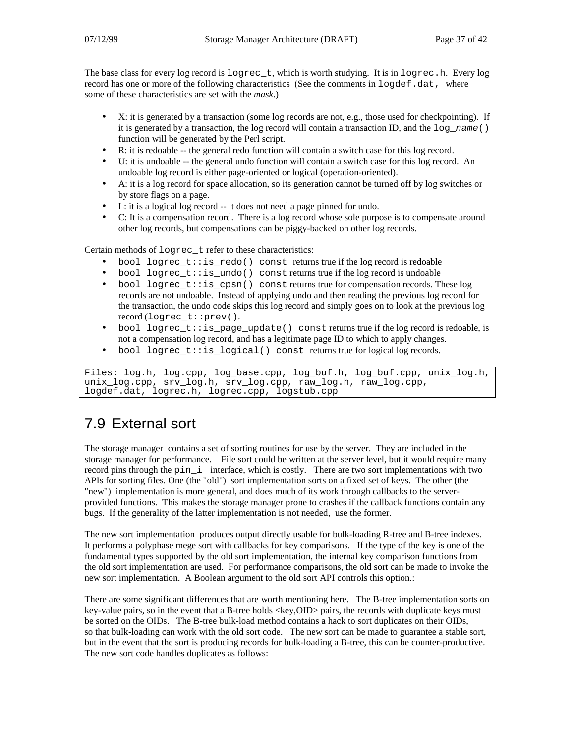The base class for every log record is logrec\_t, which is worth studying. It is in logrec.h. Every log record has one or more of the following characteristics (See the comments in logdef.dat, where some of these characteristics are set with the *mask*.)

- X: it is generated by a transaction (some log records are not, e.g., those used for checkpointing). If it is generated by a transaction, the log record will contain a transaction ID, and the  $log_name()$ function will be generated by the Perl script.
- R: it is redoable -- the general redo function will contain a switch case for this log record.
- U: it is undoable -- the general undo function will contain a switch case for this log record. An undoable log record is either page-oriented or logical (operation-oriented).
- A: it is a log record for space allocation, so its generation cannot be turned off by log switches or by store flags on a page.
- L: it is a logical log record -- it does not need a page pinned for undo.
- C: It is a compensation record. There is a log record whose sole purpose is to compensate around other log records, but compensations can be piggy-backed on other log records.

Certain methods of logrec\_t refer to these characteristics:

- bool logrec\_t:: $is\_redo()$  const returns true if the log record is redoable
- bool logrec\_t::is\_undo() const returns true if the log record is undoable
- bool logrec\_t::is\_cpsn() const returns true for compensation records. These log records are not undoable. Instead of applying undo and then reading the previous log record for the transaction, the undo code skips this log record and simply goes on to look at the previous log record (logrec\_t::prev().
- bool logrec\_t:: is\_page\_update() const returns true if the log record is redoable, is not a compensation log record, and has a legitimate page ID to which to apply changes.
- bool logrec\_t::is\_logical() const returns true for logical log records.

```
Files: log.h, log.cpp, log_base.cpp, log_buf.h, log_buf.cpp, unix_log.h,
unix_log.cpp, srv_log.h, srv_log.cpp, raw_log.h, raw_log.cpp,
logdef.dat, logrec.h, logrec.cpp, logstub.cpp
```
# 7.9 External sort

The storage manager contains a set of sorting routines for use by the server. They are included in the storage manager for performance. File sort could be written at the server level, but it would require many record pins through the pin\_i interface, which is costly. There are two sort implementations with two APIs for sorting files. One (the "old") sort implementation sorts on a fixed set of keys. The other (the "new") implementation is more general, and does much of its work through callbacks to the serverprovided functions. This makes the storage manager prone to crashes if the callback functions contain any bugs. If the generality of the latter implementation is not needed, use the former.

The new sort implementation produces output directly usable for bulk-loading R-tree and B-tree indexes. It performs a polyphase mege sort with callbacks for key comparisons. If the type of the key is one of the fundamental types supported by the old sort implementation, the internal key comparison functions from the old sort implementation are used. For performance comparisons, the old sort can be made to invoke the new sort implementation. A Boolean argument to the old sort API controls this option.:

There are some significant differences that are worth mentioning here. The B-tree implementation sorts on key-value pairs, so in the event that a B-tree holds <key,OID> pairs, the records with duplicate keys must be sorted on the OIDs. The B-tree bulk-load method contains a hack to sort duplicates on their OIDs, so that bulk-loading can work with the old sort code. The new sort can be made to guarantee a stable sort, but in the event that the sort is producing records for bulk-loading a B-tree, this can be counter-productive. The new sort code handles duplicates as follows: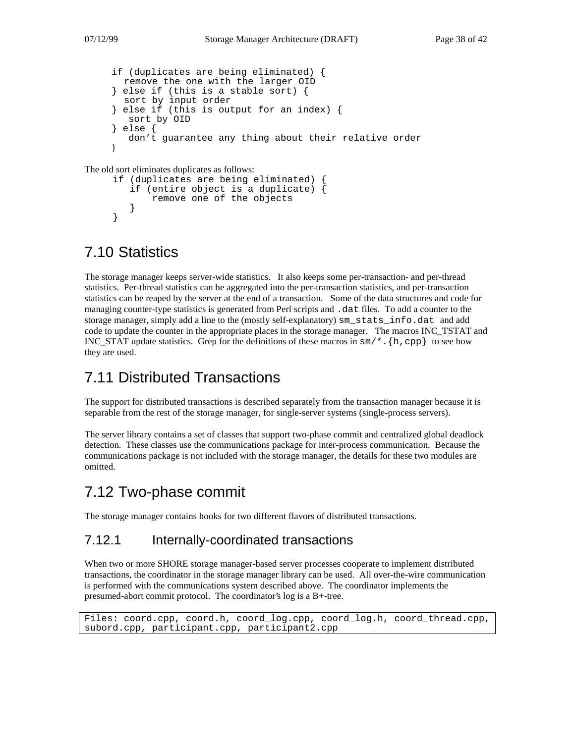```
if (duplicates are being eliminated) {
  remove the one with the larger OID
} else if (this is a stable sort) {
  sort by input order
 else if (this is output for an index) {
  sort by OID
 } else {
  don't guarantee any thing about their relative order
}
```
The old sort eliminates duplicates as follows:

```
if (duplicates are being eliminated) {
   if (entire object is a duplicate) {
       remove one of the objects
   }
}
```
# 7.10 Statistics

The storage manager keeps server-wide statistics. It also keeps some per-transaction- and per-thread statistics. Per-thread statistics can be aggregated into the per-transaction statistics, and per-transaction statistics can be reaped by the server at the end of a transaction. Some of the data structures and code for managing counter-type statistics is generated from Perl scripts and .dat files. To add a counter to the storage manager, simply add a line to the (mostly self-explanatory) sm\_stats\_info.dat and add code to update the counter in the appropriate places in the storage manager. The macros INC\_TSTAT and INC STAT update statistics. Grep for the definitions of these macros in  $\text{sm}/*$ .  $\{\text{h},\text{cpp}\}\;$  to see how they are used.

# 7.11 Distributed Transactions

The support for distributed transactions is described separately from the transaction manager because it is separable from the rest of the storage manager, for single-server systems (single-process servers).

The server library contains a set of classes that support two-phase commit and centralized global deadlock detection. These classes use the communications package for inter-process communication. Because the communications package is not included with the storage manager, the details for these two modules are omitted.

# 7.12 Two-phase commit

The storage manager contains hooks for two different flavors of distributed transactions.

### 7.12.1 Internally-coordinated transactions

When two or more SHORE storage manager-based server processes cooperate to implement distributed transactions, the coordinator in the storage manager library can be used. All over-the-wire communication is performed with the communications system described above. The coordinator implements the presumed-abort commit protocol. The coordinator's log is a B+-tree.

```
Files: coord.cpp, coord.h, coord_log.cpp, coord_log.h, coord_thread.cpp,
subord.cpp, participant.cpp, participant2.cpp
```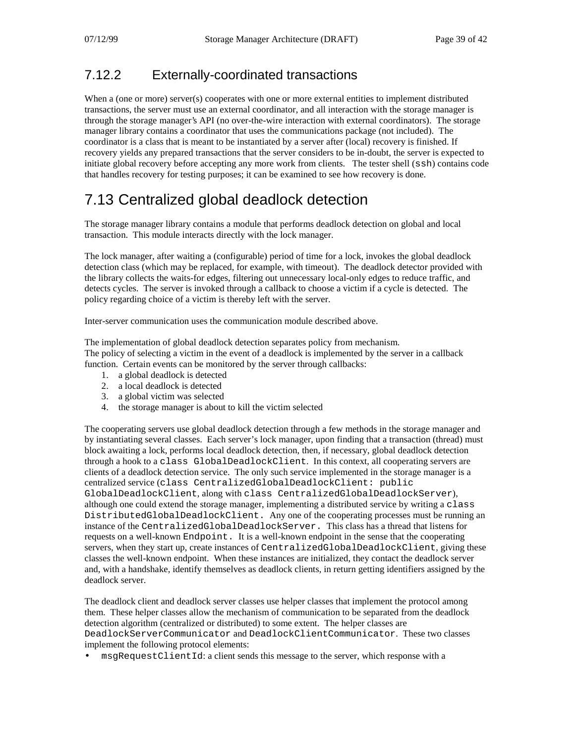### 7.12.2 Externally-coordinated transactions

When a (one or more) server(s) cooperates with one or more external entities to implement distributed transactions, the server must use an external coordinator, and all interaction with the storage manager is through the storage manager's API (no over-the-wire interaction with external coordinators). The storage manager library contains a coordinator that uses the communications package (not included). The coordinator is a class that is meant to be instantiated by a server after (local) recovery is finished. If recovery yields any prepared transactions that the server considers to be in-doubt, the server is expected to initiate global recovery before accepting any more work from clients. The tester shell (ssh) contains code that handles recovery for testing purposes; it can be examined to see how recovery is done.

# 7.13 Centralized global deadlock detection

The storage manager library contains a module that performs deadlock detection on global and local transaction. This module interacts directly with the lock manager.

The lock manager, after waiting a (configurable) period of time for a lock, invokes the global deadlock detection class (which may be replaced, for example, with timeout). The deadlock detector provided with the library collects the waits-for edges, filtering out unnecessary local-only edges to reduce traffic, and detects cycles. The server is invoked through a callback to choose a victim if a cycle is detected. The policy regarding choice of a victim is thereby left with the server.

Inter-server communication uses the communication module described above.

The implementation of global deadlock detection separates policy from mechanism. The policy of selecting a victim in the event of a deadlock is implemented by the server in a callback function. Certain events can be monitored by the server through callbacks:

- 1. a global deadlock is detected
- 2. a local deadlock is detected
- 3. a global victim was selected
- 4. the storage manager is about to kill the victim selected

The cooperating servers use global deadlock detection through a few methods in the storage manager and by instantiating several classes. Each server's lock manager, upon finding that a transaction (thread) must block awaiting a lock, performs local deadlock detection, then, if necessary, global deadlock detection through a hook to a class GlobalDeadlockClient. In this context, all cooperating servers are clients of a deadlock detection service. The only such service implemented in the storage manager is a centralized service (class CentralizedGlobalDeadlockClient: public GlobalDeadlockClient, along with class CentralizedGlobalDeadlockServer), although one could extend the storage manager, implementing a distributed service by writing a class DistributedGlobalDeadlockClient. Any one of the cooperating processes must be running an instance of the CentralizedGlobalDeadlockServer. This class has a thread that listens for requests on a well-known Endpoint. It is a well-known endpoint in the sense that the cooperating servers, when they start up, create instances of CentralizedGlobalDeadlockClient, giving these classes the well-known endpoint. When these instances are initialized, they contact the deadlock server and, with a handshake, identify themselves as deadlock clients, in return getting identifiers assigned by the deadlock server.

The deadlock client and deadlock server classes use helper classes that implement the protocol among them. These helper classes allow the mechanism of communication to be separated from the deadlock detection algorithm (centralized or distributed) to some extent. The helper classes are DeadlockServerCommunicator and DeadlockClientCommunicator. These two classes implement the following protocol elements:

• msqRequestClientId: a client sends this message to the server, which response with a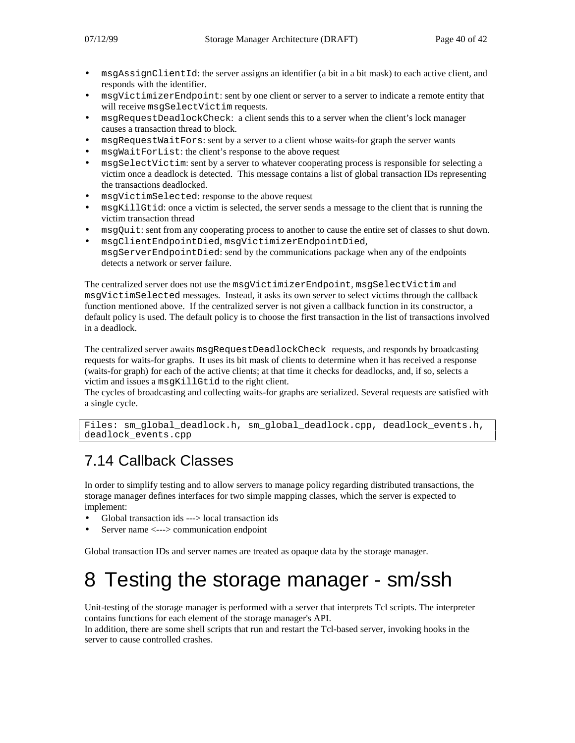- msgAssignClientId: the server assigns an identifier (a bit in a bit mask) to each active client, and responds with the identifier.
- msgVictimizerEndpoint: sent by one client or server to a server to indicate a remote entity that will receive msgSelectVictim requests.
- msgRequestDeadlockCheck: a client sends this to a server when the client's lock manager causes a transaction thread to block.
- msqRequestWaitFors: sent by a server to a client whose waits-for graph the server wants
- msqWaitForList: the client's response to the above request
- msgSelectVictim: sent by a server to whatever cooperating process is responsible for selecting a victim once a deadlock is detected. This message contains a list of global transaction IDs representing the transactions deadlocked.
- msgVictimSelected: response to the above request
- msgKillGtid: once a victim is selected, the server sends a message to the client that is running the victim transaction thread
- msqQuit: sent from any cooperating process to another to cause the entire set of classes to shut down.
- msgClientEndpointDied, msgVictimizerEndpointDied, msgServerEndpointDied: send by the communications package when any of the endpoints detects a network or server failure.

The centralized server does not use the msqVictimizerEndpoint, msqSelectVictim and msgVictimSelected messages. Instead, it asks its own server to select victims through the callback function mentioned above. If the centralized server is not given a callback function in its constructor, a default policy is used. The default policy is to choose the first transaction in the list of transactions involved in a deadlock.

The centralized server awaits msgRequestDeadlockCheck requests, and responds by broadcasting requests for waits-for graphs. It uses its bit mask of clients to determine when it has received a response (waits-for graph) for each of the active clients; at that time it checks for deadlocks, and, if so, selects a victim and issues a msgKillGtid to the right client.

The cycles of broadcasting and collecting waits-for graphs are serialized. Several requests are satisfied with a single cycle.

Files: sm\_global\_deadlock.h, sm\_global\_deadlock.cpp, deadlock\_events.h, deadlock\_events.cpp

# 7.14 Callback Classes

In order to simplify testing and to allow servers to manage policy regarding distributed transactions, the storage manager defines interfaces for two simple mapping classes, which the server is expected to implement:

- Global transaction ids ---> local transaction ids
- Server name <---> communication endpoint

Global transaction IDs and server names are treated as opaque data by the storage manager.

# 8 Testing the storage manager - sm/ssh

Unit-testing of the storage manager is performed with a server that interprets Tcl scripts. The interpreter contains functions for each element of the storage manager's API.

In addition, there are some shell scripts that run and restart the Tcl-based server, invoking hooks in the server to cause controlled crashes.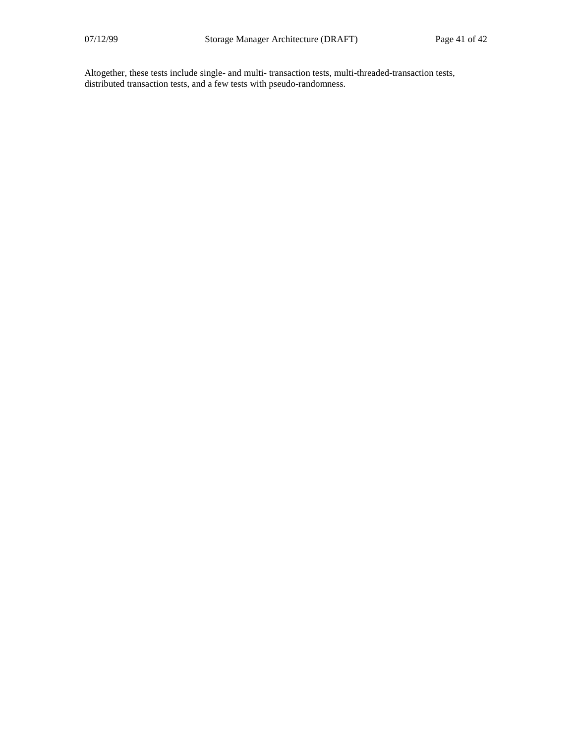Altogether, these tests include single- and multi- transaction tests, multi-threaded-transaction tests, distributed transaction tests, and a few tests with pseudo-randomness.